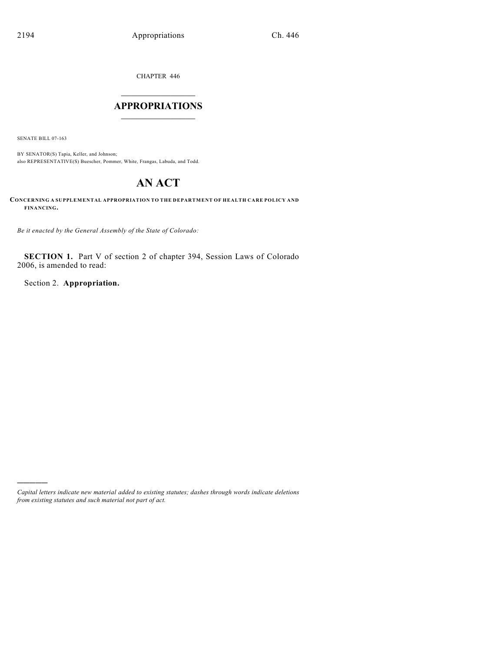CHAPTER 446

## $\overline{\phantom{a}}$  . The set of the set of the set of the set of the set of the set of the set of the set of the set of the set of the set of the set of the set of the set of the set of the set of the set of the set of the set o **APPROPRIATIONS**  $\_$   $\_$   $\_$   $\_$   $\_$   $\_$   $\_$   $\_$

SENATE BILL 07-163

)))))

BY SENATOR(S) Tapia, Keller, and Johnson; also REPRESENTATIVE(S) Buescher, Pommer, White, Frangas, Labuda, and Todd.

# **AN ACT**

**CONCERNING A SUPPLEMENTAL APPROPRIATION TO THE DEPARTMENT OF HEALTH CARE POLICY AND FINANCING.**

*Be it enacted by the General Assembly of the State of Colorado:*

**SECTION 1.** Part V of section 2 of chapter 394, Session Laws of Colorado 2006, is amended to read:

Section 2. **Appropriation.**

*Capital letters indicate new material added to existing statutes; dashes through words indicate deletions from existing statutes and such material not part of act.*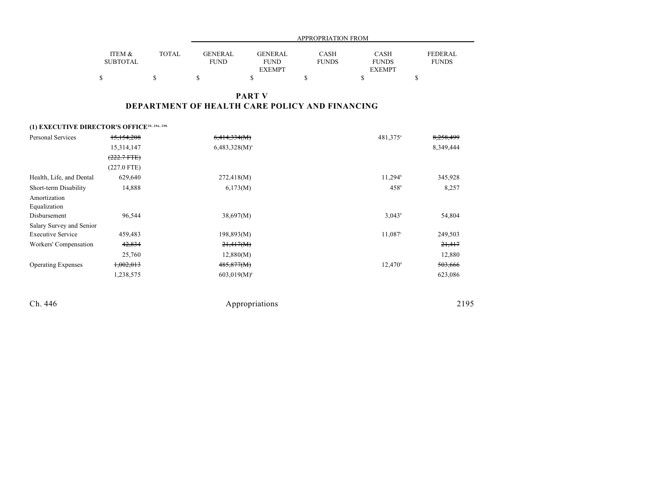|                 |       |             | APPROPRIATION FROM |              |               |                |  |  |
|-----------------|-------|-------------|--------------------|--------------|---------------|----------------|--|--|
|                 |       |             |                    |              |               |                |  |  |
| ITEM &          | TOTAL | GENERAL     | <b>GENERAL</b>     | CASH         | <b>CASH</b>   | <b>FEDERAL</b> |  |  |
| <b>SUBTOTAL</b> |       | <b>FUND</b> | <b>FUND</b>        | <b>FUNDS</b> | <b>FUNDS</b>  | <b>FUNDS</b>   |  |  |
|                 |       |             | <b>EXEMPT</b>      |              | <b>EXEMPT</b> |                |  |  |
|                 |       |             |                    |              |               |                |  |  |

## **PART V DEPARTMENT OF HEALTH CARE POLICY AND FINANCING**

## **(1) EXECUTIVE DIRECTOR'S OFFICE20, 20a, 20b**

| <b>Personal Services</b>  | 15,154,208       | 6,414,334(M)     | 481,375 <sup>a</sup>  | 8,258,499 |
|---------------------------|------------------|------------------|-----------------------|-----------|
|                           | 15,314,147       | $6,483,328(M)$ ° |                       | 8,349,444 |
|                           | $(222.7$ FTE $)$ |                  |                       |           |
|                           | $(227.0$ FTE)    |                  |                       |           |
| Health, Life, and Dental  | 629,640          | 272,418(M)       | $11,294^b$            | 345,928   |
| Short-term Disability     | 14,888           | 6,173(M)         | $458^{\rm b}$         | 8,257     |
| Amortization              |                  |                  |                       |           |
| Equalization              |                  |                  |                       |           |
| Disbursement              | 96,544           | 38,697(M)        | $3,043^b$             | 54,804    |
| Salary Survey and Senior  |                  |                  |                       |           |
| <b>Executive Service</b>  | 459,483          | 198,893(M)       | $11,087$ <sup>c</sup> | 249,503   |
| Workers' Compensation     | 42,834           | 21,417(M)        |                       | 21,417    |
|                           | 25,760           | 12,880(M)        |                       | 12,880    |
| <b>Operating Expenses</b> | 1,002,013        | 485,877(M)       | $12,470$ <sup>d</sup> | 503,666   |
|                           | 1,238,575        | $603,019(M)^p$   |                       | 623,086   |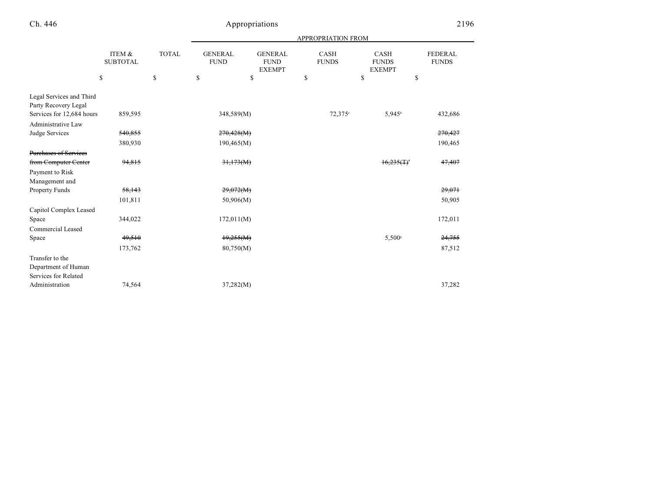|                           |                           |              | <b>APPROPRIATION FROM</b>     |                                                |                             |                                       |                      |                         |  |
|---------------------------|---------------------------|--------------|-------------------------------|------------------------------------------------|-----------------------------|---------------------------------------|----------------------|-------------------------|--|
|                           | ITEM &<br><b>SUBTOTAL</b> | <b>TOTAL</b> | <b>GENERAL</b><br><b>FUND</b> | <b>GENERAL</b><br><b>FUND</b><br><b>EXEMPT</b> | <b>CASH</b><br><b>FUNDS</b> | CASH<br><b>FUNDS</b><br><b>EXEMPT</b> |                      | FEDERAL<br><b>FUNDS</b> |  |
|                           | \$                        | \$           | \$                            | \$                                             | \$                          | \$                                    | \$                   |                         |  |
| Legal Services and Third  |                           |              |                               |                                                |                             |                                       |                      |                         |  |
| Party Recovery Legal      |                           |              |                               |                                                |                             |                                       |                      |                         |  |
| Services for 12,684 hours | 859,595                   |              | 348,589(M)                    |                                                |                             | $72,375^{\circ}$                      | $5,945^{\circ}$      | 432,686                 |  |
| Administrative Law        |                           |              |                               |                                                |                             |                                       |                      |                         |  |
| Judge Services            | 540,855                   |              | 270,428(M)                    |                                                |                             |                                       |                      | 270,427                 |  |
|                           | 380,930                   |              | 190,465(M)                    |                                                |                             |                                       |                      | 190,465                 |  |
| Purchases of Services     |                           |              |                               |                                                |                             |                                       |                      |                         |  |
| from Computer Center      | 94,815                    |              | 31,173(M)                     |                                                |                             |                                       | 16.235(f)            | 47,407                  |  |
| Payment to Risk           |                           |              |                               |                                                |                             |                                       |                      |                         |  |
| Management and            |                           |              |                               |                                                |                             |                                       |                      |                         |  |
| Property Funds            | 58,143                    |              | 29,072(M)                     |                                                |                             |                                       |                      | 29,071                  |  |
|                           | 101,811                   |              | 50,906(M)                     |                                                |                             |                                       |                      | 50,905                  |  |
| Capitol Complex Leased    |                           |              |                               |                                                |                             |                                       |                      |                         |  |
| Space                     | 344,022                   |              | 172,011(M)                    |                                                |                             |                                       |                      | 172,011                 |  |
| Commercial Leased         |                           |              |                               |                                                |                             |                                       |                      |                         |  |
| Space                     | 49,510                    |              | 19,255(M)                     |                                                |                             |                                       | $5,500$ <sup>s</sup> | 24,755                  |  |
|                           | 173,762                   |              | 80,750(M)                     |                                                |                             |                                       |                      | 87,512                  |  |
| Transfer to the           |                           |              |                               |                                                |                             |                                       |                      |                         |  |
| Department of Human       |                           |              |                               |                                                |                             |                                       |                      |                         |  |
| Services for Related      |                           |              |                               |                                                |                             |                                       |                      |                         |  |
| Administration            | 74,564                    |              | 37,282(M)                     |                                                |                             |                                       |                      | 37,282                  |  |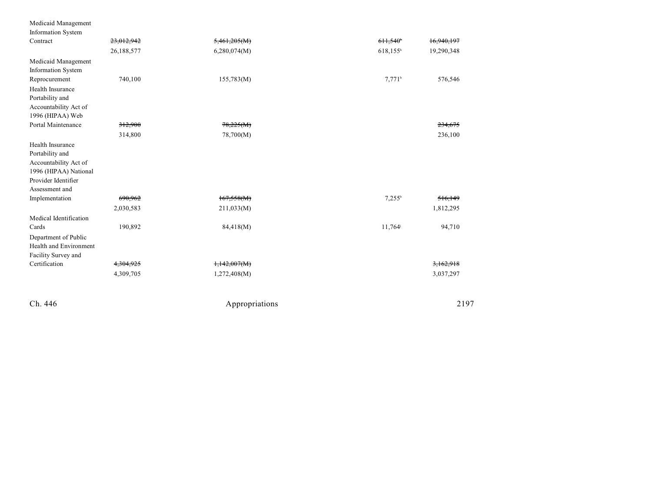| Medicaid Management                                                                                                            |            |                |                        |            |
|--------------------------------------------------------------------------------------------------------------------------------|------------|----------------|------------------------|------------|
| Information System<br>Contract                                                                                                 | 23,012,942 | 5,461,205(M)   | $611,540$ <sup>*</sup> | 16,940,197 |
|                                                                                                                                | 26,188,577 | 6,280,074(M)   | 618,155 <sup>h</sup>   | 19,290,348 |
| Medicaid Management<br><b>Information System</b>                                                                               |            |                |                        |            |
| Reprocurement                                                                                                                  | 740,100    | 155,783(M)     | $7,771$ <sup>b</sup>   | 576,546    |
| Health Insurance<br>Portability and<br>Accountability Act of<br>1996 (HIPAA) Web                                               |            |                |                        |            |
| Portal Maintenance                                                                                                             | 312,900    | 78,225(M)      |                        | 234,675    |
|                                                                                                                                | 314,800    | 78,700(M)      |                        | 236,100    |
| Health Insurance<br>Portability and<br>Accountability Act of<br>1996 (HIPAA) National<br>Provider Identifier<br>Assessment and |            |                |                        |            |
| Implementation                                                                                                                 | 690,962    | 167,558(M)     | $7,255^{\rm b}$        | 516,149    |
|                                                                                                                                | 2,030,583  | 211,033(M)     |                        | 1,812,295  |
| Medical Identification<br>Cards<br>Department of Public<br>Health and Environment<br>Facility Survey and                       | 190,892    | 84,418(M)      | $11,764^{\circ}$       | 94,710     |
| Certification                                                                                                                  | 4,304,925  | 1,142,007(M)   |                        | 3,162,918  |
|                                                                                                                                | 4,309,705  | 1,272,408(M)   |                        | 3,037,297  |
| Ch. 446                                                                                                                        |            | Appropriations |                        | 2197       |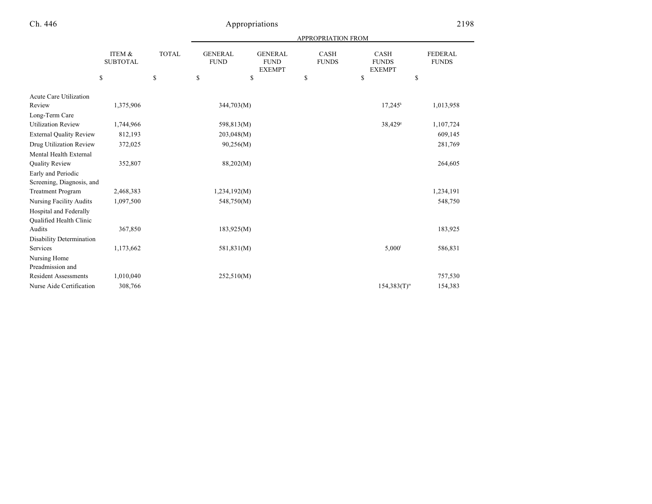|                                |                           |              |                               |                                                | APPROPRIATION FROM   |                                       |                                |
|--------------------------------|---------------------------|--------------|-------------------------------|------------------------------------------------|----------------------|---------------------------------------|--------------------------------|
|                                | ITEM &<br><b>SUBTOTAL</b> | <b>TOTAL</b> | <b>GENERAL</b><br><b>FUND</b> | <b>GENERAL</b><br><b>FUND</b><br><b>EXEMPT</b> | CASH<br><b>FUNDS</b> | CASH<br><b>FUNDS</b><br><b>EXEMPT</b> | <b>FEDERAL</b><br><b>FUNDS</b> |
|                                | \$                        | $\mathbb{S}$ | ${\mathbb S}$                 | \$                                             | \$                   | \$                                    | \$                             |
| <b>Acute Care Utilization</b>  |                           |              |                               |                                                |                      |                                       |                                |
| Review                         | 1,375,906                 |              | 344,703(M)                    |                                                |                      | $17,245$ <sup>k</sup>                 | 1,013,958                      |
| Long-Term Care                 |                           |              |                               |                                                |                      |                                       |                                |
| <b>Utilization Review</b>      | 1,744,966                 |              | 598,813(M)                    |                                                |                      | 38,429 <sup>s</sup>                   | 1,107,724                      |
| <b>External Quality Review</b> | 812,193                   |              | 203,048(M)                    |                                                |                      |                                       | 609,145                        |
| Drug Utilization Review        | 372,025                   |              | 90,256(M)                     |                                                |                      |                                       | 281,769                        |
| Mental Health External         |                           |              |                               |                                                |                      |                                       |                                |
| Quality Review                 | 352,807                   |              | 88,202(M)                     |                                                |                      |                                       | 264,605                        |
| Early and Periodic             |                           |              |                               |                                                |                      |                                       |                                |
| Screening, Diagnosis, and      |                           |              |                               |                                                |                      |                                       |                                |
| <b>Treatment Program</b>       | 2,468,383                 |              | 1,234,192(M)                  |                                                |                      |                                       | 1,234,191                      |
| <b>Nursing Facility Audits</b> | 1,097,500                 |              | 548,750(M)                    |                                                |                      |                                       | 548,750                        |
| Hospital and Federally         |                           |              |                               |                                                |                      |                                       |                                |
| <b>Oualified Health Clinic</b> |                           |              |                               |                                                |                      |                                       |                                |
| Audits                         | 367,850                   |              | 183,925(M)                    |                                                |                      |                                       | 183,925                        |
| Disability Determination       |                           |              |                               |                                                |                      |                                       |                                |
| Services                       | 1,173,662                 |              | 581,831(M)                    |                                                |                      | 5,000 <sup>1</sup>                    | 586,831                        |
| Nursing Home                   |                           |              |                               |                                                |                      |                                       |                                |
| Preadmission and               |                           |              |                               |                                                |                      |                                       |                                |
| <b>Resident Assessments</b>    | 1,010,040                 |              | 252,510(M)                    |                                                |                      |                                       | 757,530                        |
| Nurse Aide Certification       | 308,766                   |              |                               |                                                |                      | $154,383(T)^{m}$                      | 154,383                        |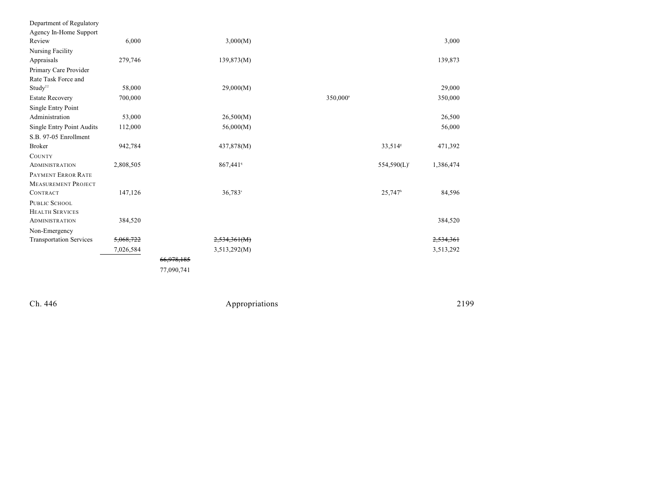| Department of Regulatory         |           |            |                      |                      |                     |           |
|----------------------------------|-----------|------------|----------------------|----------------------|---------------------|-----------|
| Agency In-Home Support           |           |            |                      |                      |                     |           |
| Review                           | 6,000     |            | 3,000(M)             |                      |                     | 3,000     |
| Nursing Facility                 |           |            |                      |                      |                     |           |
| Appraisals                       | 279,746   |            | 139,873(M)           |                      |                     | 139,873   |
| Primary Care Provider            |           |            |                      |                      |                     |           |
| Rate Task Force and              |           |            |                      |                      |                     |           |
| Study <sup>22</sup>              | 58,000    |            | 29,000(M)            |                      |                     | 29,000    |
| <b>Estate Recovery</b>           | 700,000   |            |                      | 350,000 <sup>n</sup> |                     | 350,000   |
| Single Entry Point               |           |            |                      |                      |                     |           |
| Administration                   | 53,000    |            | 26,500(M)            |                      |                     | 26,500    |
| <b>Single Entry Point Audits</b> | 112,000   |            | 56,000(M)            |                      |                     | 56,000    |
| S.B. 97-05 Enrollment            |           |            |                      |                      |                     |           |
| <b>Broker</b>                    | 942,784   |            | 437,878(M)           |                      | 33,514 <sup>s</sup> | 471,392   |
| COUNTY                           |           |            |                      |                      |                     |           |
| <b>ADMINISTRATION</b>            | 2,808,505 |            | 867,441 <sup>9</sup> |                      | $554,590(L)^r$      | 1,386,474 |
| PAYMENT ERROR RATE               |           |            |                      |                      |                     |           |
| <b>MEASUREMENT PROJECT</b>       |           |            |                      |                      |                     |           |
| <b>CONTRACT</b>                  | 147,126   |            | 36,783 <sup>s</sup>  |                      | 25,747 <sup>b</sup> | 84,596    |
| <b>PUBLIC SCHOOL</b>             |           |            |                      |                      |                     |           |
| <b>HEALTH SERVICES</b>           |           |            |                      |                      |                     |           |
| <b>ADMINISTRATION</b>            | 384,520   |            |                      |                      |                     | 384,520   |
| Non-Emergency                    |           |            |                      |                      |                     |           |
| <b>Transportation Services</b>   | 5,068,722 |            | 2,534,361(M)         |                      |                     | 2,534,361 |
|                                  | 7,026,584 |            | 3,513,292(M)         |                      |                     | 3,513,292 |
|                                  |           | 66,978,185 |                      |                      |                     |           |
|                                  |           | 77,090,741 |                      |                      |                     |           |
|                                  |           |            |                      |                      |                     |           |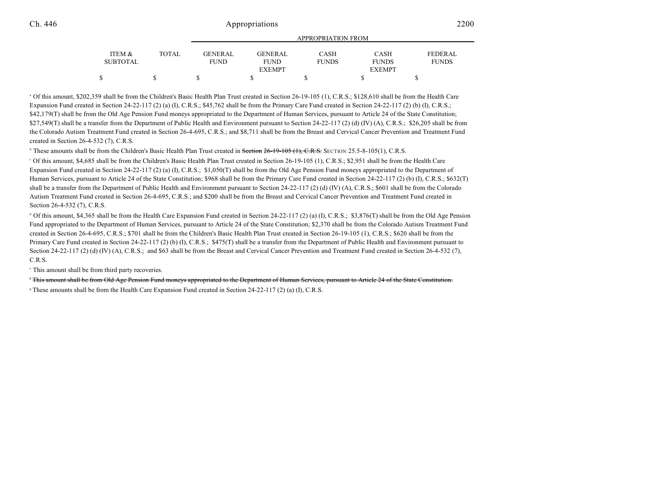|                 |              |             |                | APPROPRIATION FROM |               |                |
|-----------------|--------------|-------------|----------------|--------------------|---------------|----------------|
| ITEM &          | <b>TOTAL</b> | GENERAL     | <b>GENERAL</b> | <b>CASH</b>        | <b>CASH</b>   | <b>FEDERAL</b> |
| <b>SUBTOTAL</b> |              | <b>FUND</b> | <b>FUND</b>    | <b>FUNDS</b>       | <b>FUNDS</b>  | <b>FUNDS</b>   |
|                 |              |             | <b>EXEMPT</b>  |                    | <b>EXEMPT</b> |                |
|                 |              |             |                |                    |               |                |

<sup>a</sup> Of this amount, \$202,359 shall be from the Children's Basic Health Plan Trust created in Section 26-19-105 (1), C.R.S.; \$128,610 shall be from the Health Care Expansion Fund created in Section 24-22-117 (2) (a) (I), C.R.S.; \$45,762 shall be from the Primary Care Fund created in Section 24-22-117 (2) (b) (I), C.R.S.; \$42,179(T) shall be from the Old Age Pension Fund moneys appropriated to the Department of Human Services, pursuant to Article 24 of the State Constitution; \$27,549(T) shall be a transfer from the Department of Public Health and Environment pursuant to Section 24-22-117 (2) (d) (IV) (A), C.R.S.; \$26,205 shall be from the Colorado Autism Treatment Fund created in Section 26-4-695, C.R.S.; and \$8,711 shall be from the Breast and Cervical Cancer Prevention and Treatment Fund created in Section 26-4-532 (7), C.R.S.

<sup>b</sup> These amounts shall be from the Children's Basic Health Plan Trust created in Section 26-19-105 (1), C.R.S. SECTION 25.5-8-105(1), C.R.S.

 Of this amount, \$4,685 shall be from the Children's Basic Health Plan Trust created in Section 26-19-105 (1), C.R.S.; \$2,951 shall be from the Health Care <sup>c</sup> Expansion Fund created in Section 24-22-117 (2) (a) (I), C.R.S.; \$1,050(T) shall be from the Old Age Pension Fund moneys appropriated to the Department of Human Services, pursuant to Article 24 of the State Constitution; \$968 shall be from the Primary Care Fund created in Section 24-22-117 (2) (b) (I), C.R.S.; \$632(T) shall be a transfer from the Department of Public Health and Environment pursuant to Section 24-22-117 (2) (d) (IV) (A), C.R.S.; \$601 shall be from the Colorado Autism Treatment Fund created in Section 26-4-695, C.R.S.; and \$200 shall be from the Breast and Cervical Cancer Prevention and Treatment Fund created in Section 26-4-532 (7), C.R.S.

 $\alpha$  Of this amount, \$4,365 shall be from the Health Care Expansion Fund created in Section 24-22-117 (2) (a) (I), C.R.S.; \$3,876(T) shall be from the Old Age Pension Fund appropriated to the Department of Human Services, pursuant to Article 24 of the State Constitution; \$2,370 shall be from the Colorado Autism Treatment Fund created in Section 26-4-695, C.R.S.; \$701 shall be from the Children's Basic Health Plan Trust created in Section 26-19-105 (1), C.R.S.; \$620 shall be from the Primary Care Fund created in Section 24-22-117 (2) (b) (I), C.R.S.; \$475(T) shall be a transfer from the Department of Public Health and Environment pursuant to Section 24-22-117 (2) (d) (IV) (A), C.R.S.; and \$63 shall be from the Breast and Cervical Cancer Prevention and Treatment Fund created in Section 26-4-532 (7), C.R.S.

<sup>e</sup> This amount shall be from third party recoveries.

<sup>f</sup> This amount shall be from Old Age Pension Fund moneys appropriated to the Department of Human Services, pursuant to Article 24 of the State Constitution.

<sup>8</sup> These amounts shall be from the Health Care Expansion Fund created in Section 24-22-117 (2) (a) (I), C.R.S.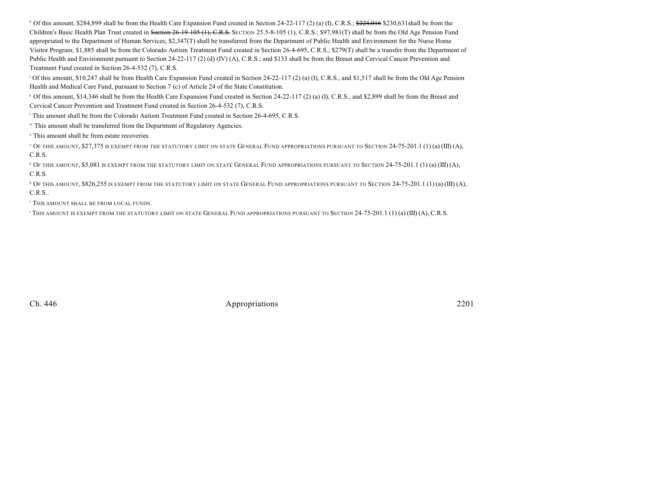<sup>b</sup> Of this amount, \$284,899 shall be from the Health Care Expansion Fund created in Section 24-22-117 (2) (a) (I), C.R.S.;  $\frac{224,016}{224,016}$  \$230,631shall be from the Children's Basic Health Plan Trust created in Section 26-19-105 (1), C.R.S. SECTION 25.5-8-105 (1), C.R.S.; \$97,981(T) shall be from the Old Age Pension Fund appropriated to the Department of Human Services; \$2,347(T) shall be transferred from the Department of Public Health and Environment for the Nurse Home Visitor Program; \$1,885 shall be from the Colorado Autism Treatment Fund created in Section 26-4-695, C.R.S.; \$279(T) shall be a transfer from the Department of Public Health and Environment pursuant to Section 24-22-117 (2) (d) (IV) (A), C.R.S.; and \$133 shall be from the Breast and Cervical Cancer Prevention and Treatment Fund created in Section 26-4-532 (7), C.R.S.

<sup>j</sup> Of this amount, \$10,247 shall be from Health Care Expansion Fund created in Section 24-22-117 (2) (a) (I), C.R.S., and \$1,517 shall be from the Old Age Pension Health and Medical Care Fund, pursuant to Section 7 (c) of Article 24 of the State Constitution.

 $\epsilon$  Of this amount, \$14,346 shall be from the Health Care Expansion Fund created in Section 24-22-117 (2) (a) (I), C.R.S., and \$2,899 shall be from the Breast and Cervical Cancer Prevention and Treatment Fund created in Section 26-4-532 (7), C.R.S.

<sup>1</sup> This amount shall be from the Colorado Autism Treatment Fund created in Section 26-4-695, C.R.S.

m This amount shall be transferred from the Department of Regulatory Agencies.

<sup>n</sup> This amount shall be from estate recoveries.

<sup>o</sup> Of this amount, \$27,375 is exempt from the statutory limit on state General Fund appropriations pursuant to Section 24-75-201.1 (1) (a) (III) (A), C.R.S.

 OF THIS AMOUNT, \$5,081 IS EXEMPT FROM THE STATUTORY LIMIT ON STATE GENERAL FUND APPROPRIATIONS PURSUANT TO SECTION 24-75-201.1 (1) (a) (III) (A), <sup>p</sup> C.R.S.

 OF THIS AMOUNT, \$826,255 IS EXEMPT FROM THE STATUTORY LIMIT ON STATE GENERAL FUND APPROPRIATIONS PURSUANT TO SECTION 24-75-201.1 (1) (a) (III) (A), <sup>q</sup> C.R.S..

<sup>r</sup> This amount shall be from local funds.

 $\cdot$  This amount is exempt from the statutory limit on state General Fund appropriations pursuant to Section 24-75-201.1 (1) (a) (III) (A), C.R.S.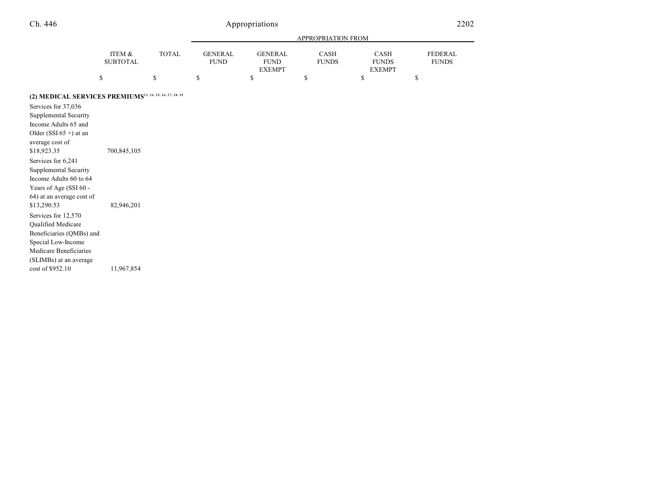| n | 446 |
|---|-----|
|---|-----|

# Appropriations 2202

|                                                                     |                           |              |                               |                                                | APPROPRIATION FROM          |                                              |                                |
|---------------------------------------------------------------------|---------------------------|--------------|-------------------------------|------------------------------------------------|-----------------------------|----------------------------------------------|--------------------------------|
|                                                                     | ITEM &<br><b>SUBTOTAL</b> | <b>TOTAL</b> | <b>GENERAL</b><br><b>FUND</b> | <b>GENERAL</b><br><b>FUND</b><br><b>EXEMPT</b> | <b>CASH</b><br><b>FUNDS</b> | <b>CASH</b><br><b>FUNDS</b><br><b>EXEMPT</b> | <b>FEDERAL</b><br><b>FUNDS</b> |
|                                                                     | \$                        | \$           | \$                            | \$                                             | \$                          | \$                                           | \$                             |
| (2) MEDICAL SERVICES PREMIUMS <sup>23, 24, 25, 26, 27, 28, 29</sup> |                           |              |                               |                                                |                             |                                              |                                |
| Services for 37,036                                                 |                           |              |                               |                                                |                             |                                              |                                |
| Supplemental Security                                               |                           |              |                               |                                                |                             |                                              |                                |
| Income Adults 65 and                                                |                           |              |                               |                                                |                             |                                              |                                |
| Older (SSI $65 +$ ) at an                                           |                           |              |                               |                                                |                             |                                              |                                |
| average cost of                                                     |                           |              |                               |                                                |                             |                                              |                                |
| \$18,923.35                                                         | 700,845,105               |              |                               |                                                |                             |                                              |                                |
| Services for 6,241                                                  |                           |              |                               |                                                |                             |                                              |                                |
| Supplemental Security                                               |                           |              |                               |                                                |                             |                                              |                                |
| Income Adults 60 to 64                                              |                           |              |                               |                                                |                             |                                              |                                |
| Years of Age (SSI 60 -                                              |                           |              |                               |                                                |                             |                                              |                                |
| 64) at an average cost of                                           |                           |              |                               |                                                |                             |                                              |                                |
| \$13,290.53                                                         | 82,946,201                |              |                               |                                                |                             |                                              |                                |
| Services for 12,570                                                 |                           |              |                               |                                                |                             |                                              |                                |
| Qualified Medicare                                                  |                           |              |                               |                                                |                             |                                              |                                |
| Beneficiaries (QMBs) and                                            |                           |              |                               |                                                |                             |                                              |                                |
| Special Low-Income                                                  |                           |              |                               |                                                |                             |                                              |                                |
| Medicare Beneficiaries                                              |                           |              |                               |                                                |                             |                                              |                                |
| (SLIMBs) at an average                                              |                           |              |                               |                                                |                             |                                              |                                |
| cost of \$952.10                                                    | 11,967,854                |              |                               |                                                |                             |                                              |                                |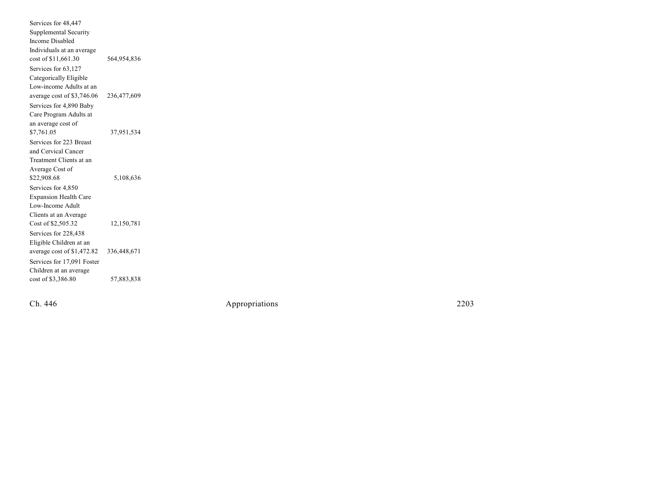Services for 48,447 Supplemental Security In come Disa bled Individuals at an average co st o 564,954,836 Services for 63,127 Categorically Eligible Low-income Adults at an av e rag e co st o 236,477,609 Services for 4,890 Baby Care Program Adults at an average cost of \$7,761.05 37,951,534 Services for 223 Breast and Cervical Cancer Treatment Clients at an Average Cost of \$22,908.68 5,108,636 Services for 4,850 Expansion Health Care Low-Income Adult Clients at an Average Co st o f \$2,505.32 12,150,781 Services for 228,438 Eligibl e Childr en at an av e rag e co st o f \$1,472.82 336,448,671 Services for 17,091 Foster Children at an average co st o f \$3,386.80 57,883,838

Ch. 446

Appropr iat

ions 2203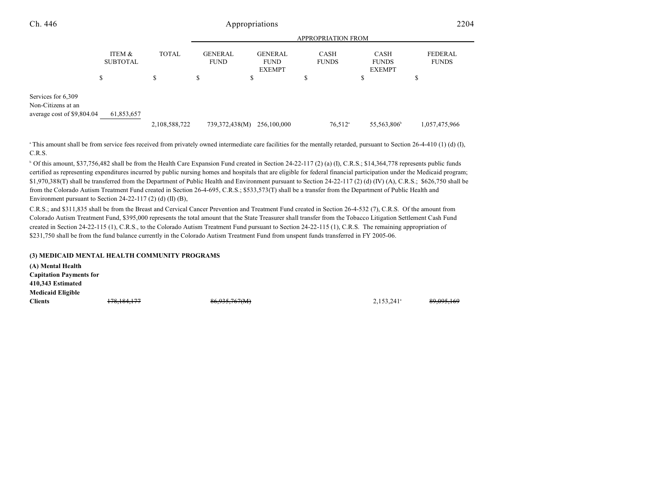| Ch. 446                                                                | Appropriations                 |                    |                                     |                                                      |                                   | 2204                                              |                         |  |
|------------------------------------------------------------------------|--------------------------------|--------------------|-------------------------------------|------------------------------------------------------|-----------------------------------|---------------------------------------------------|-------------------------|--|
|                                                                        |                                |                    |                                     |                                                      | <b>APPROPRIATION FROM</b>         |                                                   |                         |  |
|                                                                        | ITEM &<br><b>SUBTOTAL</b><br>ъ | <b>TOTAL</b><br>\$ | <b>GENERAL</b><br><b>FUND</b><br>\$ | <b>GENERAL</b><br><b>FUND</b><br><b>EXEMPT</b><br>D. | <b>CASH</b><br><b>FUNDS</b><br>\$ | <b>CASH</b><br><b>FUNDS</b><br><b>EXEMPT</b><br>Ф | FEDERAL<br><b>FUNDS</b> |  |
| Services for 6,309<br>Non-Citizens at an<br>average cost of \$9,804.04 | 61,853,657                     | 2,108,588,722      | 739,372,438(M)                      | 256,100,000                                          | $76,512$ <sup>a</sup>             | 55,563,806                                        | 1,057,475,966           |  |

<sup>a</sup> This amount shall be from service fees received from privately owned intermediate care facilities for the mentally retarded, pursuant to Section 26-4-410 (1) (d) (I), C.R.S.

 $\degree$  Of this amount, \$37,756,482 shall be from the Health Care Expansion Fund created in Section 24-22-117 (2) (a) (I), C.R.S.; \$14,364,778 represents public funds certified as representing expenditures incurred by public nursing homes and hospitals that are eligible for federal financial participation under the Medicaid program; \$1,970,388(T) shall be transferred from the Department of Public Health and Environment pursuant to Section 24-22-117 (2) (d) (IV) (A), C.R.S.; \$626,750 shall be from the Colorado Autism Treatment Fund created in Section 26-4-695, C.R.S.; \$533,573(T) shall be a transfer from the Department of Public Health and Environment pursuant to Section 24-22-117 (2) (d) (II) (B),

C.R.S.; and \$311,835 shall be from the Breast and Cervical Cancer Prevention and Treatment Fund created in Section 26-4-532 (7), C.R.S. Of the amount from Colorado Autism Treatment Fund, \$395,000 represents the total amount that the State Treasurer shall transfer from the Tobacco Litigation Settlement Cash Fund created in Section 24-22-115 (1), C.R.S., to the Colorado Autism Treatment Fund pursuant to Section 24-22-115 (1), C.R.S. The remaining appropriation of \$231,750 shall be from the fund balance currently in the Colorado Autism Treatment Fund from unspent funds transferred in FY 2005-06.

#### **(3) MEDICAID MENTAL HEALTH COMMUNITY PROGRAMS**

**(A) Mental Health Capitation Payments for 410,343 Estimated Medicaid Eligible Clients** 178,184,177 86,935,767(M) 2,153,241 89,095,169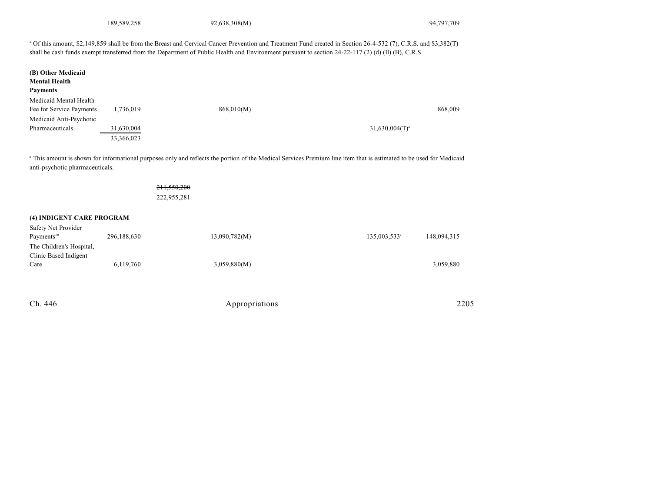189,589,258 92,638,308(M) 94,797,709

 Of this amount, \$2,149,859 shall be from the Breast and Cervical Cancer Prevention and Treatment Fund created in Section 26-4-532 (7), C.R.S. and \$3,382(T) <sup>a</sup> shall be cash funds exempt transferred from the Department of Public Health and Environment pursuant to section 24-22-117 (2) (d) (II) (B), C.R.S.

| (B) Other Medicaid       |            |            |                     |
|--------------------------|------------|------------|---------------------|
| <b>Mental Health</b>     |            |            |                     |
| <b>Payments</b>          |            |            |                     |
| Medicaid Mental Health   |            |            |                     |
| Fee for Service Payments | 1,736,019  | 868,010(M) | 868,009             |
| Medicaid Anti-Psychotic  |            |            |                     |
| Pharmaceuticals          | 31,630,004 |            | $31,630,004(T)^{a}$ |
|                          | 33,366,023 |            |                     |

<sup>a</sup> This amount is shown for informational purposes only and reflects the portion of the Medical Services Premium line item that is estimated to be used for Medicaid anti-psychotic pharmaceuticals.

| 211,550,200<br>222,955,281 |                                           |                          |
|----------------------------|-------------------------------------------|--------------------------|
|                            |                                           |                          |
|                            |                                           |                          |
|                            |                                           | 148,094,315              |
|                            |                                           |                          |
|                            |                                           |                          |
| 3,059,880(M)               |                                           | 3,059,880                |
|                            |                                           |                          |
|                            |                                           |                          |
|                            | 296,188,630<br>13,090,782(M)<br>6,119,760 | 135,003,533 <sup>a</sup> |

| Ch. 446<br>$\sim$ | Appropriations | 2205<br>___ |
|-------------------|----------------|-------------|
|                   |                |             |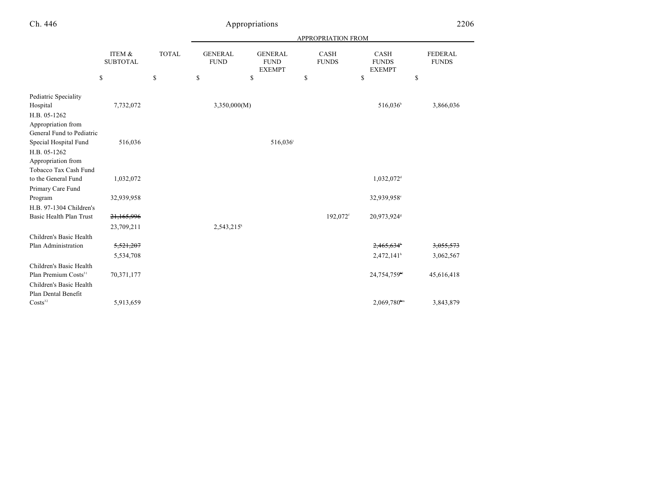| ٦.<br>€h. | 446 |
|-----------|-----|
|-----------|-----|

# Appropriations

|                                                                 | ITEM &<br><b>SUBTOTAL</b> |              | APPROPRIATION FROM            |                                                |                             |                                              |                                |  |
|-----------------------------------------------------------------|---------------------------|--------------|-------------------------------|------------------------------------------------|-----------------------------|----------------------------------------------|--------------------------------|--|
|                                                                 |                           | <b>TOTAL</b> | <b>GENERAL</b><br><b>FUND</b> | <b>GENERAL</b><br><b>FUND</b><br><b>EXEMPT</b> | <b>CASH</b><br><b>FUNDS</b> | <b>CASH</b><br><b>FUNDS</b><br><b>EXEMPT</b> | <b>FEDERAL</b><br><b>FUNDS</b> |  |
|                                                                 | \$                        | \$           | \$                            | \$                                             | \$                          | \$                                           | \$                             |  |
| Pediatric Speciality                                            |                           |              |                               |                                                |                             |                                              |                                |  |
| Hospital                                                        | 7,732,072                 |              | 3,350,000(M)                  |                                                |                             | 516,036 <sup>b</sup>                         | 3,866,036                      |  |
| H.B. 05-1262<br>Appropriation from<br>General Fund to Pediatric |                           |              |                               |                                                |                             |                                              |                                |  |
| Special Hospital Fund                                           | 516,036                   |              |                               | 516,036°                                       |                             |                                              |                                |  |
| H.B. 05-1262                                                    |                           |              |                               |                                                |                             |                                              |                                |  |
| Appropriation from                                              |                           |              |                               |                                                |                             |                                              |                                |  |
| Tobacco Tax Cash Fund                                           |                           |              |                               |                                                |                             |                                              |                                |  |
| to the General Fund                                             | 1,032,072                 |              |                               |                                                |                             | 1,032,072 <sup>d</sup>                       |                                |  |
| Primary Care Fund                                               |                           |              |                               |                                                |                             |                                              |                                |  |
| Program                                                         | 32,939,958                |              |                               |                                                |                             | 32,939,958°                                  |                                |  |
| H.B. 97-1304 Children's                                         |                           |              |                               |                                                |                             |                                              |                                |  |
| Basic Health Plan Trust                                         | 21,165,996                |              |                               |                                                | 192,072 <sup>f</sup>        | 20,973,924 <sup>s</sup>                      |                                |  |
|                                                                 | 23,709,211                |              | $2,543,215^k$                 |                                                |                             |                                              |                                |  |
| Children's Basic Health                                         |                           |              |                               |                                                |                             |                                              |                                |  |
| Plan Administration                                             | 5,521,207                 |              |                               |                                                |                             | 2,465,634                                    | 3,055,573                      |  |
|                                                                 | 5,534,708                 |              |                               |                                                |                             | 2,472,141 <sup>h</sup>                       | 3,062,567                      |  |
| Children's Basic Health                                         |                           |              |                               |                                                |                             |                                              |                                |  |
| Plan Premium Costs <sup>31</sup>                                | 70,371,177                |              |                               |                                                |                             | 24,754,759 <sup>H</sup>                      | 45,616,418                     |  |
| Children's Basic Health<br>Plan Dental Benefit                  |                           |              |                               |                                                |                             |                                              |                                |  |
| Costs <sup>32</sup>                                             | 5,913,659                 |              |                               |                                                |                             | $2,069,780^{nm}$                             | 3,843,879                      |  |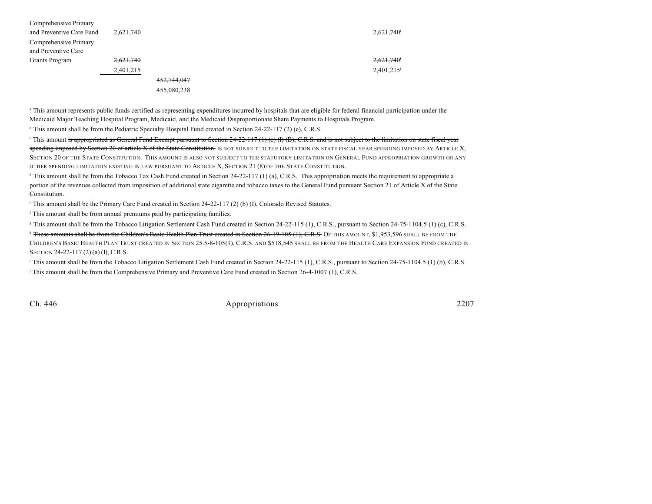| Comprehensive Primary    |           |             |  |           |
|--------------------------|-----------|-------------|--|-----------|
| and Preventive Care Fund | 2,621,740 |             |  | 2,621,740 |
| Comprehensive Primary    |           |             |  |           |
| and Preventive Care      |           |             |  |           |
| Grants Program           | 2,621,740 |             |  | 2,621,740 |
|                          | 2,401,215 |             |  | 2,401,215 |
|                          |           | 452,744,047 |  |           |
|                          |           | 455,080,238 |  |           |

<sup>a</sup> This amount represents public funds certified as representing expenditures incurred by hospitals that are eligible for federal financial participation under the Medicaid Major Teaching Hospital Program, Medicaid, and the Medicaid Disproportionate Share Payments to Hospitals Program.

<sup>b</sup> This amount shall be from the Pediatric Specialty Hospital Fund created in Section 24-22-117 (2) (e), C.R.S.

This amount is appropriated as General Fund Exempt pursuant to Section  $24-22-117$  (1) (c) (f) (B), C.R.S. and is not subject to the limitation on state fiscal year spending imposed by Section 20 of article X of the State Constitution. IS NOT SUBJECT TO THE LIMITATION ON STATE FISCAL YEAR SPENDING IMPOSED BY ARTICLE X, SECTION 20 OF THE STATE CONSTITUTION. THIS AMOUNT IS ALSO NOT SUBJECT TO THE STATUTORY LIMITATION ON GENERAL FUND APPROPRIATION GROWTH OR ANY OTHER SPENDING LIMITATION EXISTING IN LAW PURSUANT TO ARTICLE X, SECTION 21 (8) OF THE STATE CONSTITUTION.

 $\alpha$  This amount shall be from the Tobacco Tax Cash Fund created in Section 24-22-117 (1) (a), C.R.S. This appropriation meets the requirement to appropriate a portion of the revenues collected from imposition of additional state cigarette and tobacco taxes to the General Fund pursuant Section 21 of Article X of the State Constitution.

 $\degree$  This amount shall be the Primary Care Fund created in Section 24-22-117 (2) (b) (I), Colorado Revised Statutes.

<sup>f</sup> This amount shall be from annual premiums paid by participating families.

<sup>8</sup> This amount shall be from the Tobacco Litigation Settlement Cash Fund created in Section 24-22-115 (1), C.R.S., pursuant to Section 24-75-1104.5 (1) (c), C.R.S.

<sup>h</sup> These amounts shall be from the Children's Basic Health Plan Trust created in Section 26-19-105 (1), C.R.S. OF THIS AMOUNT, \$1,953,596 SHALL BE FROM THE CHILDREN'S BASIC HEALTH PLAN TRUST CREATED IN SECTION 25.5-8-105(1), C.R.S. AND \$518,545 SHALL BE FROM THE HEALTH CARE EXPANSION FUND CREATED IN SECTION 24-22-117 (2) (a) (I), C.R.S.

<sup>1</sup> This amount shall be from the Tobacco Litigation Settlement Cash Fund created in Section 24-22-115 (1), C.R.S., pursuant to Section 24-75-1104.5 (1) (b), C.R.S. This amount shall be from the Comprehensive Primary and Preventive Care Fund created in Section 26-4-1007 (1), C.R.S.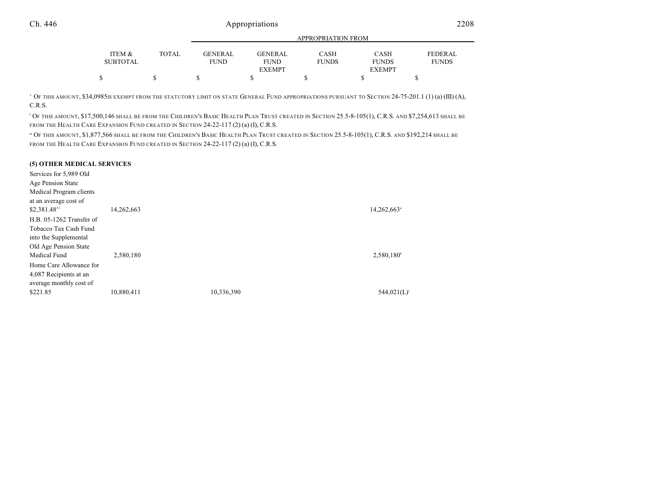|                 |        | APPROPRIATION FROM |                |              |               |                |
|-----------------|--------|--------------------|----------------|--------------|---------------|----------------|
|                 | TOTAL. |                    | <b>GENERAL</b> |              |               |                |
| ITEM &          |        | GENERAL            |                | <b>CASH</b>  | <b>CASH</b>   | <b>FEDERAL</b> |
| <b>SUBTOTAL</b> |        | <b>FUND</b>        | <b>FUND</b>    | <b>FUNDS</b> | <b>FUNDS</b>  | <b>FUNDS</b>   |
|                 |        |                    | <b>EXEMPT</b>  |              | <b>EXEMPT</b> |                |
|                 |        |                    |                |              |               |                |

 OF THIS AMOUNT, \$34,0985IS EXEMPT FROM THE STATUTORY LIMIT ON STATE GENERAL FUND APPROPRIATIONS PURSUANT TO SECTION 24-75-201.1 (1) (a) (III) (A), <sup>k</sup> C.R.S.

<sup>1</sup> OF THIS AMOUNT, \$17,500,146 SHALL BE FROM THE CHILDREN'S BASIC HEALTH PLAN TRUST CREATED IN SECTION 25.5-8-105(1), C.R.S. AND \$7,254,613 SHALL BE FROM THE HEALTH CARE EXPANSION FUND CREATED IN SECTION 24-22-117 (2) (a) (I), C.R.S.

<sup>n</sup> Of this amount, \$1,877,566 shall be from the Children's Basic Health Plan Trust created in Section 25.5-8-105(1), C.R.S. and \$192,214 shall be FROM THE HEALTH CARE EXPANSION FUND CREATED IN SECTION 24-22-117 (2) (a) (I), C.R.S.

#### **(5) OTHER MEDICAL SERVICES**

| Services for 5,989 Old   |            |            |                         |
|--------------------------|------------|------------|-------------------------|
| Age Pension State        |            |            |                         |
| Medical Program clients  |            |            |                         |
| at an average cost of    |            |            |                         |
| \$2,381.4833             | 14,262,663 |            | 14,262,663 <sup>a</sup> |
| H.B. 05-1262 Transfer of |            |            |                         |
| Tobacco Tax Cash Fund    |            |            |                         |
| into the Supplemental    |            |            |                         |
| Old Age Pension State    |            |            |                         |
| Medical Fund             | 2,580,180  |            | $2,580,180^{\circ}$     |
| Home Care Allowance for  |            |            |                         |
| 4,087 Recipients at an   |            |            |                         |
| average monthly cost of  |            |            |                         |
| \$221.85                 | 10,880,411 | 10,336,390 | 544,021(L) <sup>c</sup> |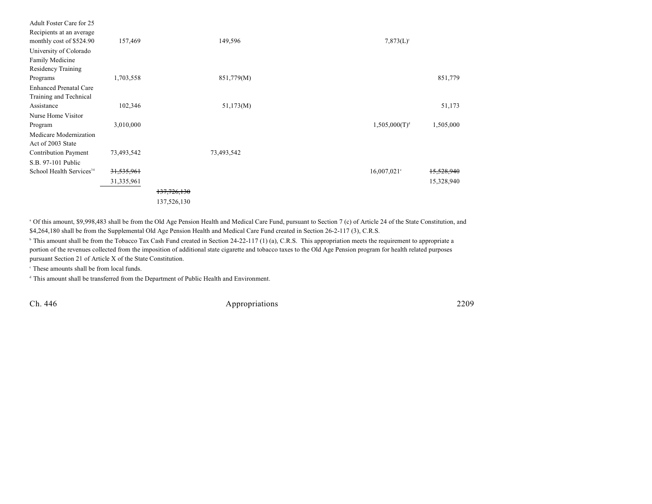| Adult Foster Care for 25             |              |             |            |                           |            |
|--------------------------------------|--------------|-------------|------------|---------------------------|------------|
| Recipients at an average             |              |             |            |                           |            |
| monthly cost of \$524.90             | 157,469      |             | 149,596    | $7,873(L)$ <sup>c</sup>   |            |
| University of Colorado               |              |             |            |                           |            |
| Family Medicine                      |              |             |            |                           |            |
| Residency Training                   |              |             |            |                           |            |
| Programs                             | 1,703,558    |             | 851,779(M) |                           | 851,779    |
| <b>Enhanced Prenatal Care</b>        |              |             |            |                           |            |
| Training and Technical               |              |             |            |                           |            |
| Assistance                           | 102,346      |             | 51,173(M)  |                           | 51,173     |
| Nurse Home Visitor                   |              |             |            |                           |            |
| Program                              | 3,010,000    |             |            | 1,505,000(T) <sup>d</sup> | 1,505,000  |
| Medicare Modernization               |              |             |            |                           |            |
| Act of 2003 State                    |              |             |            |                           |            |
| Contribution Payment                 | 73,493,542   |             | 73,493,542 |                           |            |
| S.B. 97-101 Public                   |              |             |            |                           |            |
| School Health Services <sup>34</sup> | 31,535,961   |             |            | $16,007,021$ °            | 15,528,940 |
|                                      | 31, 335, 961 |             |            |                           | 15,328,940 |
|                                      |              | 137,726,130 |            |                           |            |
|                                      |              | 137,526,130 |            |                           |            |
|                                      |              |             |            |                           |            |

<sup>a</sup> Of this amount, \$9,998,483 shall be from the Old Age Pension Health and Medical Care Fund, pursuant to Section 7 (c) of Article 24 of the State Constitution, and \$4,264,180 shall be from the Supplemental Old Age Pension Health and Medical Care Fund created in Section 26-2-117 (3), C.R.S.

<sup>b</sup> This amount shall be from the Tobacco Tax Cash Fund created in Section 24-22-117 (1) (a), C.R.S. This appropriation meets the requirement to appropriate a portion of the revenues collected from the imposition of additional state cigarette and tobacco taxes to the Old Age Pension program for health related purposes pursuant Section 21 of Article X of the State Constitution.

 $\degree$  These amounts shall be from local funds.

<sup>d</sup> This amount shall be transferred from the Department of Public Health and Environment.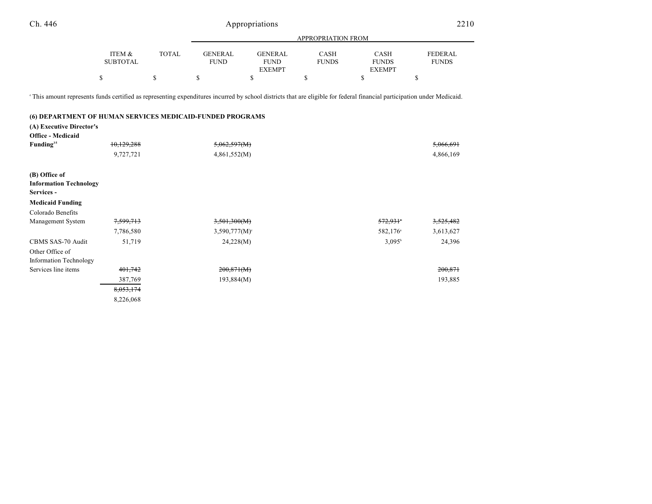| Ch. 446 | Appropriations | 2210 |
|---------|----------------|------|
|         |                |      |

|                 |              |                | APPROPRIATION FROM |              |               |                |
|-----------------|--------------|----------------|--------------------|--------------|---------------|----------------|
|                 |              |                |                    |              |               |                |
| ITEM &          | <b>TOTAL</b> | <b>GENERAL</b> | <b>GENERAL</b>     | CASH         | <b>CASH</b>   | <b>FEDERAL</b> |
| <b>SUBTOTAL</b> |              | <b>FUND</b>    | <b>FUND</b>        | <b>FUNDS</b> | <b>FUNDS</b>  | <b>FUNDS</b>   |
|                 |              |                | <b>EXEMPT</b>      |              | <b>EXEMPT</b> |                |
|                 |              |                |                    |              |               |                |

This amount represents funds certified as representing expenditures incurred by school districts that are eligible for federal financial participation under Medicaid. <sup>e</sup>

#### **(6) DEPARTMENT OF HUMAN SERVICES MEDICAID-FUNDED PROGRAMS**

**(A) Executive Director's**

| <b>Office - Medicaid</b>      |            |                    |                      |           |
|-------------------------------|------------|--------------------|----------------------|-----------|
| Funding <sup>35</sup>         | 10,129,288 | 5,062,597(M)       |                      | 5,066,691 |
|                               | 9,727,721  | 4,861,552(M)       |                      | 4,866,169 |
| (B) Office of                 |            |                    |                      |           |
| <b>Information Technology</b> |            |                    |                      |           |
| Services -                    |            |                    |                      |           |
| <b>Medicaid Funding</b>       |            |                    |                      |           |
| Colorado Benefits             |            |                    |                      |           |
| Management System             | 7,599,713  | 3,501,300(M)       | 572,931              | 3,525,482 |
|                               | 7,786,580  | $3,590,777(M)^{c}$ | 582,176 <sup>a</sup> | 3,613,627 |
| CBMS SAS-70 Audit             | 51,719     | 24,228(M)          | $3,095^{\rm b}$      | 24,396    |
| Other Office of               |            |                    |                      |           |
| Information Technology        |            |                    |                      |           |
| Services line items           | 401,742    | 200,871(M)         |                      | 200,871   |
|                               | 387,769    | 193,884(M)         |                      | 193,885   |
|                               | 8,053,174  |                    |                      |           |
|                               | 8,226,068  |                    |                      |           |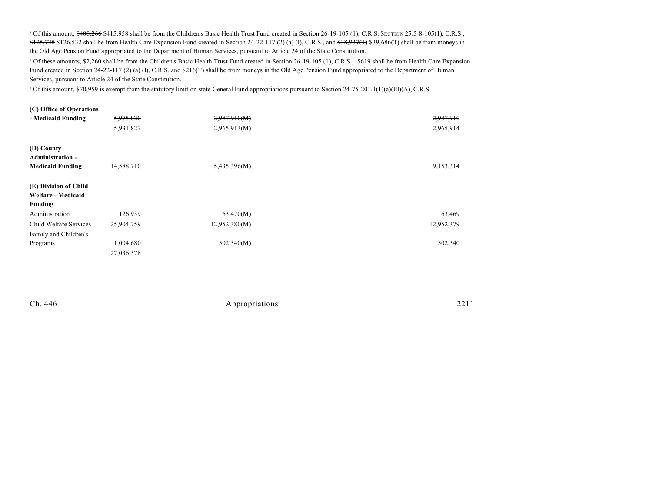<sup>a</sup> Of this amount, \$408,266 \$415,958 shall be from the Children's Basic Health Trust Fund created in Section 26-19-105 (1), C.R.S. SECTION 25.5-8-105(1), C.R.S.;  $$125,728$  \$126,532 shall be from Health Care Expansion Fund created in Section 24-22-117 (2) (a) (I), C.R.S., and  $$38,937(T)$  \$39,686(T) shall be from moneys in the Old Age Pension Fund appropriated to the Department of Human Services, pursuant to Article 24 of the State Constitution.

<sup>b</sup> Of these amounts, \$2,260 shall be from the Children's Basic Health Trust Fund created in Section 26-19-105 (1), C.R.S.; \$619 shall be from Health Care Expansion Fund created in Section 24-22-117 (2) (a) (I), C.R.S. and \$216(T) shall be from moneys in the Old Age Pension Fund appropriated to the Department of Human Services, pursuant to Article 24 of the State Constitution.

Of this amount, \$70,959 is exempt from the statutory limit on state General Fund appropriations pursuant to Section 24-75-201.1(1)(a)(III)(A), C.R.S. <sup>c</sup>

| (C) Office of Operations                               |            |               |            |
|--------------------------------------------------------|------------|---------------|------------|
| - Medicaid Funding                                     | 5,975,820  | 2,987,910(M)  | 2,987,910  |
|                                                        | 5,931,827  | 2,965,913(M)  | 2,965,914  |
| (D) County<br><b>Administration -</b>                  |            |               |            |
| <b>Medicaid Funding</b>                                | 14,588,710 | 5,435,396(M)  | 9,153,314  |
| (E) Division of Child<br>Welfare - Medicaid<br>Funding |            |               |            |
| Administration                                         | 126,939    | 63,470(M)     | 63,469     |
| Child Welfare Services                                 | 25,904,759 | 12,952,380(M) | 12,952,379 |
| Family and Children's                                  |            |               |            |
| Programs                                               | 1,004,680  | 502,340(M)    | 502,340    |
|                                                        | 27,036,378 |               |            |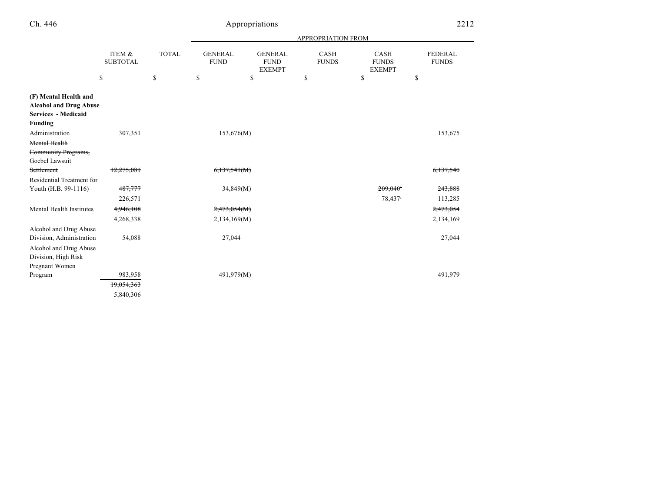| n | .46 |
|---|-----|
|---|-----|

# Appropriations 2212

|                                                                                                 |                           |              |                               |                                                | <b>APPROPRIATION FROM</b>   |                                       |                                |
|-------------------------------------------------------------------------------------------------|---------------------------|--------------|-------------------------------|------------------------------------------------|-----------------------------|---------------------------------------|--------------------------------|
|                                                                                                 | ITEM &<br><b>SUBTOTAL</b> | <b>TOTAL</b> | <b>GENERAL</b><br><b>FUND</b> | <b>GENERAL</b><br><b>FUND</b><br><b>EXEMPT</b> | <b>CASH</b><br><b>FUNDS</b> | CASH<br><b>FUNDS</b><br><b>EXEMPT</b> | <b>FEDERAL</b><br><b>FUNDS</b> |
|                                                                                                 | \$                        | \$           | \$                            | \$                                             | \$                          | \$                                    | \$                             |
| (F) Mental Health and<br><b>Alcohol and Drug Abuse</b><br>Services - Medicaid<br><b>Funding</b> |                           |              |                               |                                                |                             |                                       |                                |
| Administration                                                                                  | 307,351                   |              | 153,676(M)                    |                                                |                             |                                       | 153,675                        |
| Mental Health                                                                                   |                           |              |                               |                                                |                             |                                       |                                |
| Community Programs,                                                                             |                           |              |                               |                                                |                             |                                       |                                |
| Goebel Lawsuit                                                                                  |                           |              |                               |                                                |                             |                                       |                                |
| Settlement                                                                                      | 12,275,081                |              | 6,137,541(M)                  |                                                |                             |                                       | <del>6,137,540</del>           |
| Residential Treatment for                                                                       |                           |              |                               |                                                |                             |                                       |                                |
| Youth (H.B. 99-1116)                                                                            | 487,777                   |              | 34,849(M)                     |                                                |                             | $209,040$ <sup>*</sup>                | 243,888                        |
|                                                                                                 | 226,571                   |              |                               |                                                |                             | 78,437 <sup>a</sup>                   | 113,285                        |
| Mental Health Institutes                                                                        | 4,946,108                 |              | 2,473,054(M)                  |                                                |                             |                                       | 2,473,054                      |
|                                                                                                 | 4,268,338                 |              | 2,134,169(M)                  |                                                |                             |                                       | 2,134,169                      |
| Alcohol and Drug Abuse                                                                          |                           |              |                               |                                                |                             |                                       |                                |
| Division, Administration                                                                        | 54,088                    |              | 27,044                        |                                                |                             |                                       | 27,044                         |
| Alcohol and Drug Abuse                                                                          |                           |              |                               |                                                |                             |                                       |                                |
| Division, High Risk                                                                             |                           |              |                               |                                                |                             |                                       |                                |
| Pregnant Women                                                                                  |                           |              |                               |                                                |                             |                                       |                                |
| Program                                                                                         | 983,958                   |              | 491,979(M)                    |                                                |                             |                                       | 491,979                        |
|                                                                                                 | 19,054,363                |              |                               |                                                |                             |                                       |                                |
|                                                                                                 | 5,840,306                 |              |                               |                                                |                             |                                       |                                |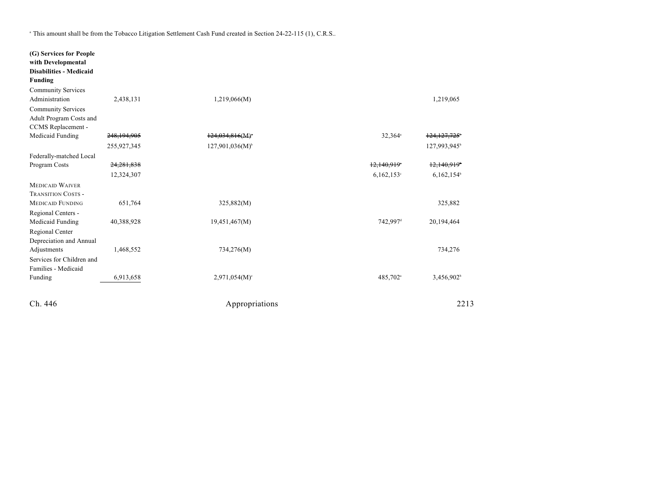<sup>a</sup> This amount shall be from the Tobacco Litigation Settlement Cash Fund created in Section 24-22-115 (1), C.R.S..

| (G) Services for People<br>with Developmental<br><b>Disabilities - Medicaid</b><br><b>Funding</b> |             |                             |                           |                           |
|---------------------------------------------------------------------------------------------------|-------------|-----------------------------|---------------------------|---------------------------|
| <b>Community Services</b>                                                                         |             |                             |                           |                           |
| Administration                                                                                    | 2,438,131   | 1,219,066(M)                |                           | 1,219,065                 |
| <b>Community Services</b>                                                                         |             |                             |                           |                           |
| Adult Program Costs and                                                                           |             |                             |                           |                           |
| CCMS Replacement -                                                                                |             |                             |                           |                           |
| Medicaid Funding                                                                                  | 248,194,905 | $124,034,816(M)^*$          | 32,364 <sup>a</sup>       | 124,127,725               |
|                                                                                                   | 255,927,345 | $127,901,036(M)^{b}$        |                           | 127,993,945 <sup>b</sup>  |
| Federally-matched Local                                                                           |             |                             |                           |                           |
| Program Costs                                                                                     | 24,281,838  |                             | $12,140,919$ <sup>*</sup> | $12,140,919$ <sup>*</sup> |
|                                                                                                   | 12,324,307  |                             | $6,162,153$ °             | 6,162,154                 |
| <b>MEDICAID WAIVER</b>                                                                            |             |                             |                           |                           |
| <b>TRANSITION COSTS -</b>                                                                         |             |                             |                           |                           |
| <b>MEDICAID FUNDING</b>                                                                           | 651,764     | 325,882(M)                  |                           | 325,882                   |
| Regional Centers -                                                                                |             |                             |                           |                           |
| Medicaid Funding                                                                                  | 40,388,928  | 19,451,467(M)               | 742,997 <sup>d</sup>      | 20,194,464                |
| Regional Center                                                                                   |             |                             |                           |                           |
| Depreciation and Annual                                                                           |             |                             |                           |                           |
| Adjustments                                                                                       | 1,468,552   | 734,276(M)                  |                           | 734,276                   |
| Services for Children and                                                                         |             |                             |                           |                           |
| Families - Medicaid                                                                               |             |                             |                           |                           |
| Funding                                                                                           | 6,913,658   | $2,971,054(M)$ <sup>c</sup> | 485,702 <sup>a</sup>      | 3,456,902 <sup>b</sup>    |
| Ch. 446                                                                                           |             | Appropriations              |                           | 2213                      |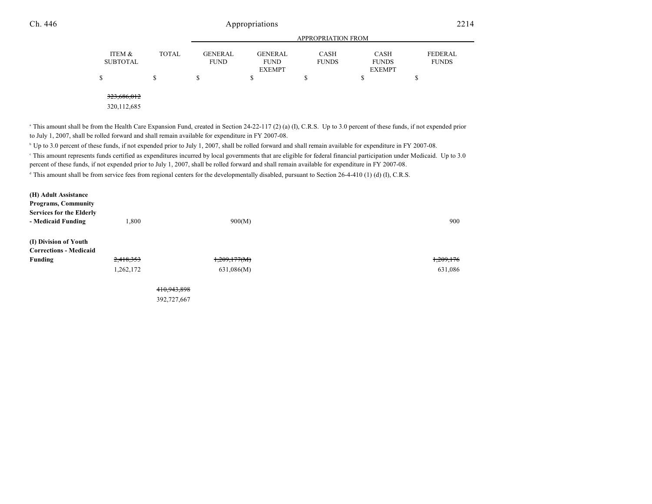|                           |              |                               |                        | <b>APPROPRIATION FROM</b>   |                             |                         |
|---------------------------|--------------|-------------------------------|------------------------|-----------------------------|-----------------------------|-------------------------|
| ITEM &<br><b>SUBTOTAL</b> | <b>TOTAL</b> | <b>GENERAL</b><br><b>FUND</b> | GENERAL<br><b>FUND</b> | <b>CASH</b><br><b>FUNDS</b> | <b>CASH</b><br><b>FUNDS</b> | FEDERAL<br><b>FUNDS</b> |
| \$                        | S            |                               | <b>EXEMPT</b><br>S     |                             | <b>EXEMPT</b>               |                         |
|                           |              |                               |                        |                             |                             |                         |
|                           |              |                               |                        |                             |                             |                         |

323,686,012

320,112,685

<sup>a</sup> This amount shall be from the Health Care Expansion Fund, created in Section 24-22-117 (2) (a) (I), C.R.S. Up to 3.0 percent of these funds, if not expended prior to July 1, 2007, shall be rolled forward and shall remain available for expenditure in FY 2007-08.

<sup>b</sup> Up to 3.0 percent of these funds, if not expended prior to July 1, 2007, shall be rolled forward and shall remain available for expenditure in FY 2007-08.

 This amount represents funds certified as expenditures incurred by local governments that are eligible for federal financial participation under Medicaid. Up to 3.0 <sup>c</sup> percent of these funds, if not expended prior to July 1, 2007, shall be rolled forward and shall remain available for expenditure in FY 2007-08.

<sup>d</sup> This amount shall be from service fees from regional centers for the developmentally disabled, pursuant to Section 26-4-410 (1) (d) (I), C.R.S.

| (H) Adult Assistance            |           |              |           |
|---------------------------------|-----------|--------------|-----------|
| <b>Programs, Community</b>      |           |              |           |
| <b>Services for the Elderly</b> |           |              |           |
| - Medicaid Funding              | 1,800     | 900(M)       | 900       |
| (I) Division of Youth           |           |              |           |
| <b>Corrections - Medicaid</b>   |           |              |           |
| Funding                         | 2,418,353 | 1,209,177(M) | 1,209,176 |
|                                 | 1,262,172 | 631,086(M)   | 631,086   |
|                                 |           |              |           |
|                                 |           |              |           |

410,943,898 392,727,667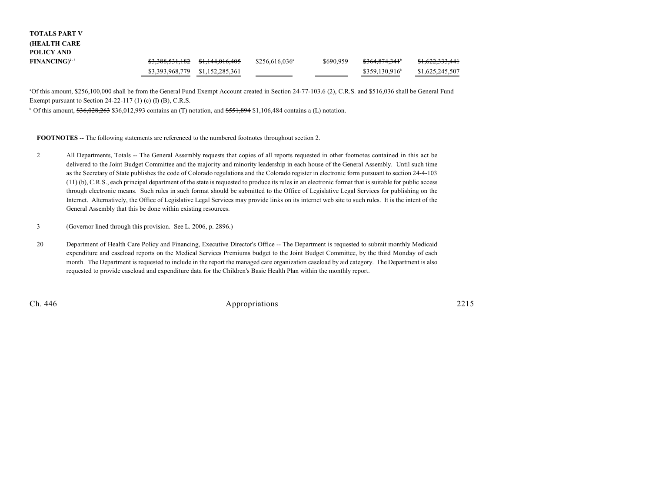# **TOTALS PART V (HEALTH CARE POLICY AND**

| $FINANCING)^{2,3}$ | <del>\$3,388,531,182</del> \$1,144,016,405 | $$256,616,036^{\circ}$ | \$690,959 | <del>\$364,874,341</del> * | <del>\$1,622,333,441</del> |
|--------------------|--------------------------------------------|------------------------|-----------|----------------------------|----------------------------|
|                    | \$3,393,968,779 \$1,152,285,361            |                        |           | \$359,130,916              | \$1,625,245,507            |

Of this amount, \$256,100,000 shall be from the General Fund Exempt Account created in Section 24-77-103.6 (2), C.R.S. and \$516,036 shall be General Fund <sup>a</sup> Exempt pursuant to Section 24-22-117 (1) (c) (I) (B), C.R.S.

 $\degree$  Of this amount,  $$36,028,263$  \$36,012,993 contains an (T) notation, and  $$551,894$  \$1,106,484 contains a (L) notation.

**FOOTNOTES** -- The following statements are referenced to the numbered footnotes throughout section 2.

- 2 All Departments, Totals -- The General Assembly requests that copies of all reports requested in other footnotes contained in this act be delivered to the Joint Budget Committee and the majority and minority leadership in each house of the General Assembly. Until such time as the Secretary of State publishes the code of Colorado regulations and the Colorado register in electronic form pursuant to section 24-4-103 (11) (b), C.R.S., each principal department of the state is requested to produce its rules in an electronic format that is suitable for public access through electronic means. Such rules in such format should be submitted to the Office of Legislative Legal Services for publishing on the Internet. Alternatively, the Office of Legislative Legal Services may provide links on its internet web site to such rules. It is the intent of the General Assembly that this be done within existing resources.
- 3 (Governor lined through this provision. See L. 2006, p. 2896.)
- 20 Department of Health Care Policy and Financing, Executive Director's Office -- The Department is requested to submit monthly Medicaid expenditure and caseload reports on the Medical Services Premiums budget to the Joint Budget Committee, by the third Monday of each month. The Department is requested to include in the report the managed care organization caseload by aid category. The Department is also requested to provide caseload and expenditure data for the Children's Basic Health Plan within the monthly report.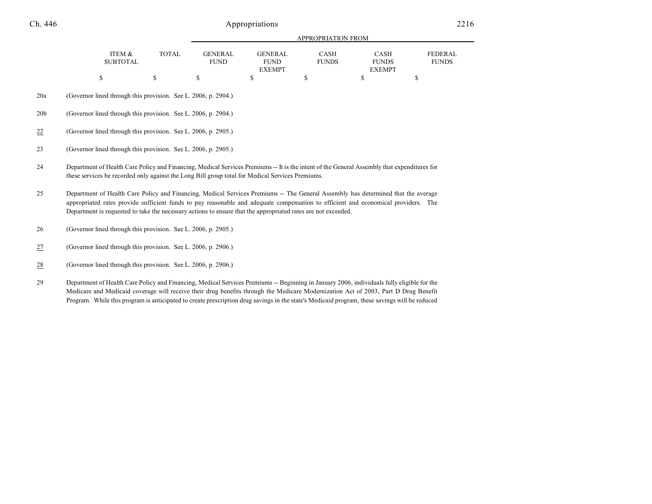|                 |                                                                                                                                                                                                                                                                                                                                                                                          |                                                                |                               |                                                | APPROPRIATION FROM          |                                              |                                |  |  |  |  |
|-----------------|------------------------------------------------------------------------------------------------------------------------------------------------------------------------------------------------------------------------------------------------------------------------------------------------------------------------------------------------------------------------------------------|----------------------------------------------------------------|-------------------------------|------------------------------------------------|-----------------------------|----------------------------------------------|--------------------------------|--|--|--|--|
|                 | ITEM &<br><b>SUBTOTAL</b>                                                                                                                                                                                                                                                                                                                                                                | <b>TOTAL</b>                                                   | <b>GENERAL</b><br><b>FUND</b> | <b>GENERAL</b><br><b>FUND</b><br><b>EXEMPT</b> | <b>CASH</b><br><b>FUNDS</b> | <b>CASH</b><br><b>FUNDS</b><br><b>EXEMPT</b> | <b>FEDERAL</b><br><b>FUNDS</b> |  |  |  |  |
|                 | \$                                                                                                                                                                                                                                                                                                                                                                                       | \$                                                             | \$                            | \$                                             | \$                          | \$                                           | \$                             |  |  |  |  |
| 20a             | (Governor lined through this provision. See L. 2006, p. 2904.)                                                                                                                                                                                                                                                                                                                           |                                                                |                               |                                                |                             |                                              |                                |  |  |  |  |
| 20 <sub>b</sub> | (Governor lined through this provision. See L. 2006, p. 2904.)                                                                                                                                                                                                                                                                                                                           |                                                                |                               |                                                |                             |                                              |                                |  |  |  |  |
| $\frac{22}{2}$  |                                                                                                                                                                                                                                                                                                                                                                                          | (Governor lined through this provision. See L. 2006, p. 2905.) |                               |                                                |                             |                                              |                                |  |  |  |  |
| 23              |                                                                                                                                                                                                                                                                                                                                                                                          | (Governor lined through this provision. See L. 2006, p. 2905.) |                               |                                                |                             |                                              |                                |  |  |  |  |
| 24              | Department of Health Care Policy and Financing, Medical Services Premiums -- It is the intent of the General Assembly that expenditures for<br>these services be recorded only against the Long Bill group total for Medical Services Premiums.                                                                                                                                          |                                                                |                               |                                                |                             |                                              |                                |  |  |  |  |
| 25              | Department of Health Care Policy and Financing, Medical Services Premiums -- The General Assembly has determined that the average<br>appropriated rates provide sufficient funds to pay reasonable and adequate compensation to efficient and economical providers. The<br>Department is requested to take the necessary actions to ensure that the appropriated rates are not exceeded. |                                                                |                               |                                                |                             |                                              |                                |  |  |  |  |
| 26              | (Governor lined through this provision. See L. 2006, p. 2905.)                                                                                                                                                                                                                                                                                                                           |                                                                |                               |                                                |                             |                                              |                                |  |  |  |  |
| $\frac{27}{2}$  | (Governor lined through this provision. See L. 2006, p. 2906.)                                                                                                                                                                                                                                                                                                                           |                                                                |                               |                                                |                             |                                              |                                |  |  |  |  |
| $\frac{28}{1}$  | (Governor lined through this provision. See L. 2006, p. 2906.)                                                                                                                                                                                                                                                                                                                           |                                                                |                               |                                                |                             |                                              |                                |  |  |  |  |
| 29              | Department of Health Care Policy and Financing, Medical Services Premiums -- Beginning in January 2006, individuals fully eligible for the                                                                                                                                                                                                                                               |                                                                |                               |                                                |                             |                                              |                                |  |  |  |  |

Medicare and Medicaid coverage will receive their drug benefits through the Medicare Modernization Act of 2003, Part D Drug Benefit Program. While this program is anticipated to create prescription drug savings in the state's Medicaid program, these savings will be reduced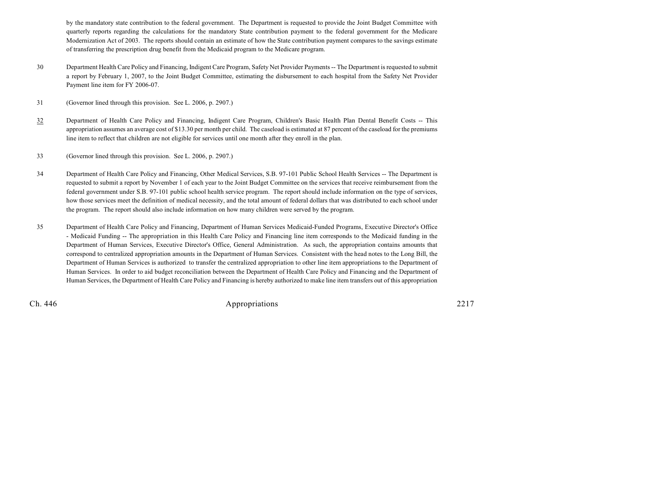by the mandatory state contribution to the federal government. The Department is requested to provide the Joint Budget Committee with quarterly reports regarding the calculations for the mandatory State contribution payment to the federal government for the Medicare Modernization Act of 2003. The reports should contain an estimate of how the State contribution payment compares to the savings estimate of transferring the prescription drug benefit from the Medicaid program to the Medicare program.

- 30 Department Health Care Policy and Financing, Indigent Care Program, Safety Net Provider Payments-- The Department is requested to submit a report by February 1, 2007, to the Joint Budget Committee, estimating the disbursement to each hospital from the Safety Net Provider Payment line item for FY 2006-07.
- 31 (Governor lined through this provision. See L. 2006, p. 2907.)
- 32 Department of Health Care Policy and Financing, Indigent Care Program, Children's Basic Health Plan Dental Benefit Costs -- This appropriation assumes an average cost of \$13.30 per month per child. The caseload is estimated at 87 percent of the caseload for the premiums line item to reflect that children are not eligible for services until one month after they enroll in the plan.
- 33 (Governor lined through this provision. See L. 2006, p. 2907.)
- 34 Department of Health Care Policy and Financing, Other Medical Services, S.B. 97-101 Public School Health Services -- The Department is requested to submit a report by November 1 of each year to the Joint Budget Committee on the services that receive reimbursement from the federal government under S.B. 97-101 public school health service program. The report should include information on the type of services, how those services meet the definition of medical necessity, and the total amount of federal dollars that was distributed to each school under the program. The report should also include information on how many children were served by the program.
- 35 Department of Health Care Policy and Financing, Department of Human Services Medicaid-Funded Programs, Executive Director's Office - Medicaid Funding -- The appropriation in this Health Care Policy and Financing line item corresponds to the Medicaid funding in the Department of Human Services, Executive Director's Office, General Administration. As such, the appropriation contains amounts that correspond to centralized appropriation amounts in the Department of Human Services. Consistent with the head notes to the Long Bill, the Department of Human Services is authorized to transfer the centralized appropriation to other line item appropriations to the Department of Human Services. In order to aid budget reconciliation between the Department of Health Care Policy and Financing and the Department of Human Services, the Department of Health Care Policy and Financing is hereby authorized to make line item transfers out of this appropriation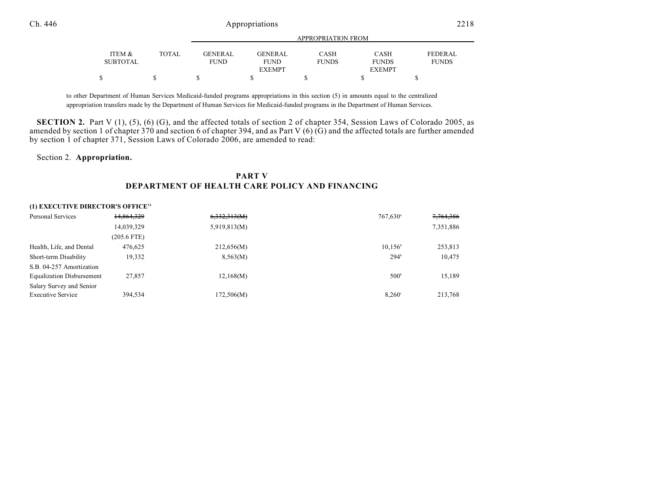|                 |              |                |                | APPROPRIATION FROM |               |                |
|-----------------|--------------|----------------|----------------|--------------------|---------------|----------------|
| ITEM &          | <b>TOTAL</b> | <b>GENERAL</b> | <b>GENERAL</b> | CASH               | <b>CASH</b>   | <b>FEDERAL</b> |
| <b>SUBTOTAL</b> |              | <b>FUND</b>    | <b>FUND</b>    | <b>FUNDS</b>       | <b>FUNDS</b>  | <b>FUNDS</b>   |
|                 |              |                | <b>EXEMPT</b>  |                    | <b>EXEMPT</b> |                |
|                 |              |                |                |                    |               |                |

to other Department of Human Services Medicaid-funded programs appropriations in this section (5) in amounts equal to the centralized appropriation transfers made by the Department of Human Services for Medicaid-funded programs in the Department of Human Services.

**SECTION 2.** Part V (1), (5), (6) (G), and the affected totals of section 2 of chapter 354, Session Laws of Colorado 2005, as amended by section 1 of chapter 370 and section 6 of chapter 394, and as Part V (6)  $(G)$  and the affected totals are further amended by section 1 of chapter 371, Session Laws of Colorado 2006, are amended to read:

#### Section 2. **Appropriation.**

#### **PART V DEPARTMENT OF HEALTH CARE POLICY AND FINANCING**

#### **(1) EXECUTIVE DIRECTOR'S OFFICE<sup>32</sup>**

| Personal Services                | 14,864,329  | 6,332,313(M) | $767,630$ <sup>a</sup> | 7,764,386 |
|----------------------------------|-------------|--------------|------------------------|-----------|
|                                  | 14,039,329  | 5,919,813(M) |                        | 7,351,886 |
|                                  | (205.6 FTE) |              |                        |           |
| Health, Life, and Dental         | 476,625     | 212,656(M)   | $10,156^{\circ}$       | 253,813   |
| Short-term Disability            | 19,332      | 8,563(M)     | $294^{\circ}$          | 10,475    |
| S.B. 04-257 Amortization         |             |              |                        |           |
| <b>Equalization Disbursement</b> | 27,857      | 12,168(M)    | $500^{\circ}$          | 15,189    |
| Salary Survey and Senior         |             |              |                        |           |
| <b>Executive Service</b>         | 394.534     | 172,506(M)   | 8.260°                 | 213.768   |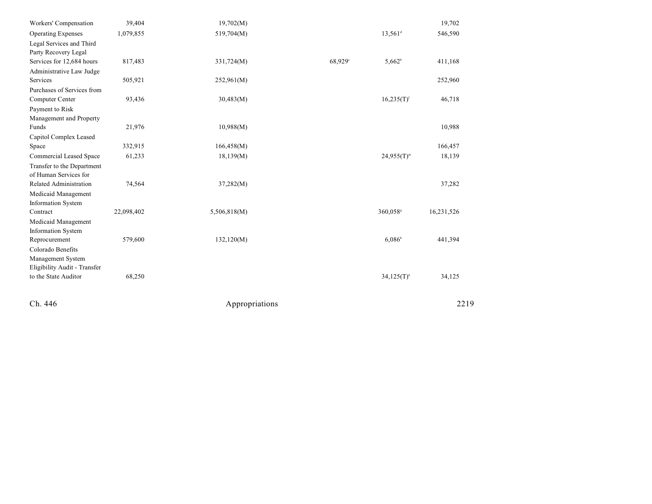| Workers' Compensation        | 39,404     | 19,702(M)    |                     |                       | 19,702     |
|------------------------------|------------|--------------|---------------------|-----------------------|------------|
| <b>Operating Expenses</b>    | 1,079,855  | 519,704(M)   |                     | $13,561$ <sup>d</sup> | 546,590    |
| Legal Services and Third     |            |              |                     |                       |            |
| Party Recovery Legal         |            |              |                     |                       |            |
| Services for 12,684 hours    | 817,483    | 331,724(M)   | 68,929 <sup>e</sup> | $5,662^b$             | 411,168    |
| Administrative Law Judge     |            |              |                     |                       |            |
| Services                     | 505,921    | 252,961(M)   |                     |                       | 252,960    |
| Purchases of Services from   |            |              |                     |                       |            |
| Computer Center              | 93,436     | 30,483(M)    |                     | $16,235(T)^{f}$       | 46,718     |
| Payment to Risk              |            |              |                     |                       |            |
| Management and Property      |            |              |                     |                       |            |
| Funds                        | 21,976     | 10,988(M)    |                     |                       | 10,988     |
| Capitol Complex Leased       |            |              |                     |                       |            |
| Space                        | 332,915    | 166,458(M)   |                     |                       | 166,457    |
| Commercial Leased Space      | 61,233     | 18,139(M)    |                     | $24,955(T)^{m}$       | 18,139     |
| Transfer to the Department   |            |              |                     |                       |            |
| of Human Services for        |            |              |                     |                       |            |
| Related Administration       | 74,564     | 37,282(M)    |                     |                       | 37,282     |
| Medicaid Management          |            |              |                     |                       |            |
| <b>Information System</b>    |            |              |                     |                       |            |
| Contract                     | 22,098,402 | 5,506,818(M) |                     | 360,058 <sup>s</sup>  | 16,231,526 |
| Medicaid Management          |            |              |                     |                       |            |
| <b>Information System</b>    |            |              |                     |                       |            |
| Reprocurement                | 579,600    | 132,120(M)   |                     | $6,086^{\circ}$       | 441,394    |
| Colorado Benefits            |            |              |                     |                       |            |
| Management System            |            |              |                     |                       |            |
| Eligibility Audit - Transfer |            |              |                     |                       |            |
| to the State Auditor         | 68,250     |              |                     | $34,125(T)^n$         | 34,125     |
|                              |            |              |                     |                       |            |
|                              |            |              |                     |                       |            |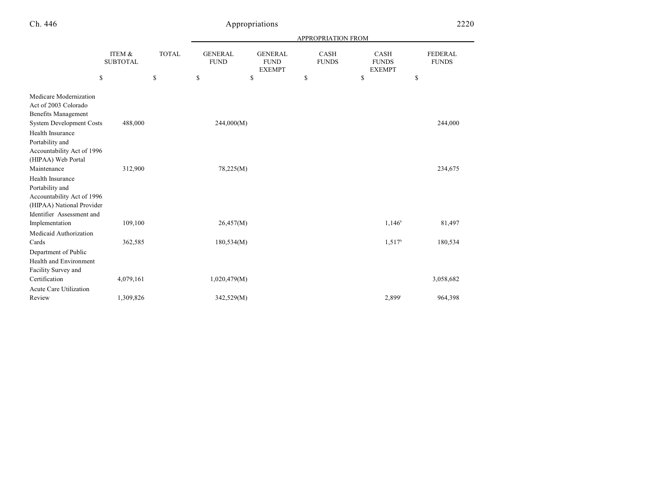| Ch. 446 |                           |       |                               | Appropriations                                 |                             |                                              | 2220                           |
|---------|---------------------------|-------|-------------------------------|------------------------------------------------|-----------------------------|----------------------------------------------|--------------------------------|
|         |                           |       |                               | <b>APPROPRIATION FROM</b>                      |                             |                                              |                                |
|         | ITEM &<br><b>SUBTOTAL</b> | TOTAL | <b>GENERAL</b><br><b>FUND</b> | <b>GENERAL</b><br><b>FUND</b><br><b>EXEMPT</b> | <b>CASH</b><br><b>FUNDS</b> | <b>CASH</b><br><b>FUNDS</b><br><b>EXEMPT</b> | <b>FEDERAL</b><br><b>FUNDS</b> |
|         | \$                        | S     | S                             |                                                |                             |                                              |                                |

| \$                                                                                                                           |           | \$<br>\$     | \$<br>\$ | \$                 | \$        |
|------------------------------------------------------------------------------------------------------------------------------|-----------|--------------|----------|--------------------|-----------|
| Medicare Modernization<br>Act of 2003 Colorado<br>Benefits Management<br><b>System Development Costs</b><br>Health Insurance | 488,000   | 244,000(M)   |          |                    | 244,000   |
| Portability and<br>Accountability Act of 1996<br>(HIPAA) Web Portal<br>Maintenance                                           | 312,900   | 78,225(M)    |          |                    | 234,675   |
| Health Insurance<br>Portability and<br>Accountability Act of 1996<br>(HIPAA) National Provider<br>Identifier Assessment and  |           |              |          |                    |           |
| Implementation                                                                                                               | 109,100   | 26,457(M)    |          | $1,146^{\circ}$    | 81,497    |
| Medicaid Authorization<br>Cards<br>Department of Public<br><b>Health and Environment</b>                                     | 362,585   | 180,534(M)   |          | 1,517 <sup>h</sup> | 180,534   |
| Facility Survey and<br>Certification<br>Acute Care Utilization                                                               | 4,079,161 | 1,020,479(M) |          |                    | 3,058,682 |
| Review                                                                                                                       | 1,309,826 | 342,529(M)   |          | 2,899 <sup>i</sup> | 964,398   |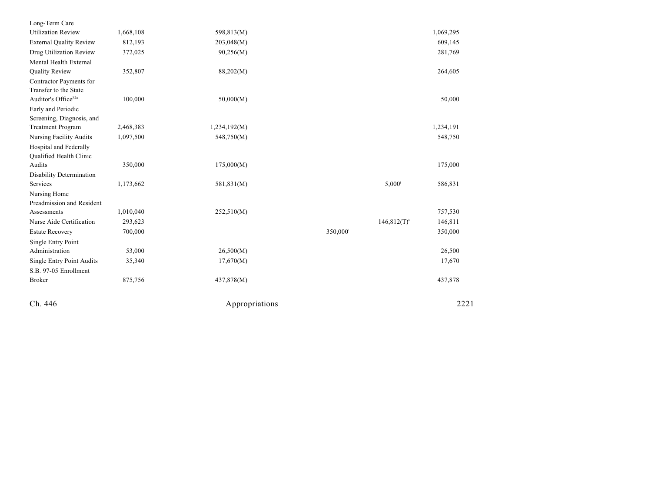| Ch. 446                                          |           | Appropriations |         |                 | 2221      |
|--------------------------------------------------|-----------|----------------|---------|-----------------|-----------|
| <b>Broker</b>                                    | 875,756   | 437,878(M)     |         |                 | 437,878   |
| S.B. 97-05 Enrollment                            |           |                |         |                 |           |
| <b>Single Entry Point Audits</b>                 | 35,340    | 17,670(M)      |         |                 | 17,670    |
| Administration                                   | 53,000    | 26,500(M)      |         |                 | 26,500    |
| Single Entry Point                               |           |                |         |                 |           |
| <b>Estate Recovery</b>                           | 700,000   |                | 350,000 |                 | 350,000   |
| Nurse Aide Certification                         | 293,623   |                |         | $146,812(T)^k$  | 146,811   |
| Assessments                                      | 1,010,040 | 252,510(M)     |         |                 | 757,530   |
| Preadmission and Resident                        |           |                |         |                 |           |
| Nursing Home                                     |           |                |         |                 |           |
| Services                                         | 1,173,662 | 581,831(M)     |         | $5,000^{\circ}$ | 586,831   |
| Disability Determination                         |           |                |         |                 |           |
| Audits                                           | 350,000   | 175,000(M)     |         |                 | 175,000   |
| <b>Oualified Health Clinic</b>                   |           |                |         |                 |           |
| Hospital and Federally                           |           |                |         |                 |           |
| <b>Nursing Facility Audits</b>                   | 1,097,500 | 548,750(M)     |         |                 | 548,750   |
| <b>Treatment Program</b>                         | 2,468,383 | 1,234,192(M)   |         |                 | 1,234,191 |
| Screening, Diagnosis, and                        |           |                |         |                 |           |
| Early and Periodic                               |           |                |         |                 |           |
| Auditor's Office <sup>32a</sup>                  | 100,000   | 50,000(M)      |         |                 | 50,000    |
| Contractor Payments for<br>Transfer to the State |           |                |         |                 |           |
|                                                  | 352,807   | 88,202(M)      |         |                 |           |
| Mental Health External<br><b>Quality Review</b>  |           |                |         |                 | 264,605   |
| Drug Utilization Review                          | 372,025   | 90,256(M)      |         |                 | 281,769   |
| <b>External Quality Review</b>                   | 812,193   | 203,048(M)     |         |                 | 609,145   |
| <b>Utilization Review</b>                        | 1,668,108 | 598,813(M)     |         |                 | 1,069,295 |
| Long-Term Care                                   |           |                |         |                 |           |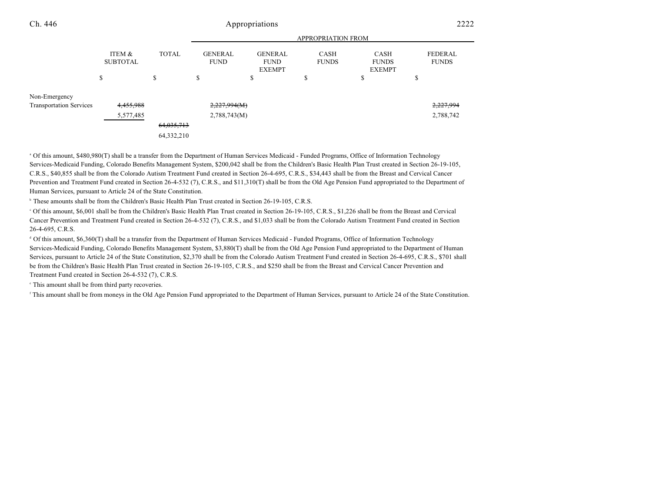| Ch. 446                        | Appropriations            |              |                               |                                                |                             |                                              | 2222                           |  |
|--------------------------------|---------------------------|--------------|-------------------------------|------------------------------------------------|-----------------------------|----------------------------------------------|--------------------------------|--|
|                                |                           |              | <b>APPROPRIATION FROM</b>     |                                                |                             |                                              |                                |  |
|                                | ITEM &<br><b>SUBTOTAL</b> | <b>TOTAL</b> | <b>GENERAL</b><br><b>FUND</b> | <b>GENERAL</b><br><b>FUND</b><br><b>EXEMPT</b> | <b>CASH</b><br><b>FUNDS</b> | <b>CASH</b><br><b>FUNDS</b><br><b>EXEMPT</b> | <b>FEDERAL</b><br><b>FUNDS</b> |  |
|                                | ch<br>ъ                   | \$           | \$                            | \$                                             | ¢<br>J                      | D                                            | ъ                              |  |
| Non-Emergency                  |                           |              |                               |                                                |                             |                                              |                                |  |
| <b>Transportation Services</b> | 4,455,988                 |              | 2,227,994(M)                  |                                                |                             |                                              | 2,227,994                      |  |
|                                | 5,577,485                 |              | 2,788,743(M)                  |                                                |                             |                                              | 2,788,742                      |  |
|                                |                           | 64,035,713   |                               |                                                |                             |                                              |                                |  |
|                                |                           | 64,332,210   |                               |                                                |                             |                                              |                                |  |

<sup>a</sup> Of this amount, \$480,980(T) shall be a transfer from the Department of Human Services Medicaid - Funded Programs, Office of Information Technology Services-Medicaid Funding, Colorado Benefits Management System, \$200,042 shall be from the Children's Basic Health Plan Trust created in Section 26-19-105, C.R.S., \$40,855 shall be from the Colorado Autism Treatment Fund created in Section 26-4-695, C.R.S., \$34,443 shall be from the Breast and Cervical Cancer Prevention and Treatment Fund created in Section 26-4-532 (7), C.R.S., and \$11,310(T) shall be from the Old Age Pension Fund appropriated to the Department of Human Services, pursuant to Article 24 of the State Constitution.

<sup>b</sup> These amounts shall be from the Children's Basic Health Plan Trust created in Section 26-19-105, C.R.S.

 Of this amount, \$6,001 shall be from the Children's Basic Health Plan Trust created in Section 26-19-105, C.R.S., \$1,226 shall be from the Breast and Cervical <sup>c</sup> Cancer Prevention and Treatment Fund created in Section 26-4-532 (7), C.R.S., and \$1,033 shall be from the Colorado Autism Treatment Fund created in Section 26-4-695, C.R.S.

 Of this amount, \$6,360(T) shall be a transfer from the Department of Human Services Medicaid - Funded Programs, Office of Information Technology <sup>d</sup> Services-Medicaid Funding, Colorado Benefits Management System, \$3,880(T) shall be from the Old Age Pension Fund appropriated to the Department of Human Services, pursuant to Article 24 of the State Constitution, \$2,370 shall be from the Colorado Autism Treatment Fund created in Section 26-4-695, C.R.S., \$701 shall be from the Children's Basic Health Plan Trust created in Section 26-19-105, C.R.S., and \$250 shall be from the Breast and Cervical Cancer Prevention and Treatment Fund created in Section 26-4-532 (7), C.R.S.

 $\cdot$  This amount shall be from third party recoveries.

<sup>f</sup> This amount shall be from moneys in the Old Age Pension Fund appropriated to the Department of Human Services, pursuant to Article 24 of the State Constitution.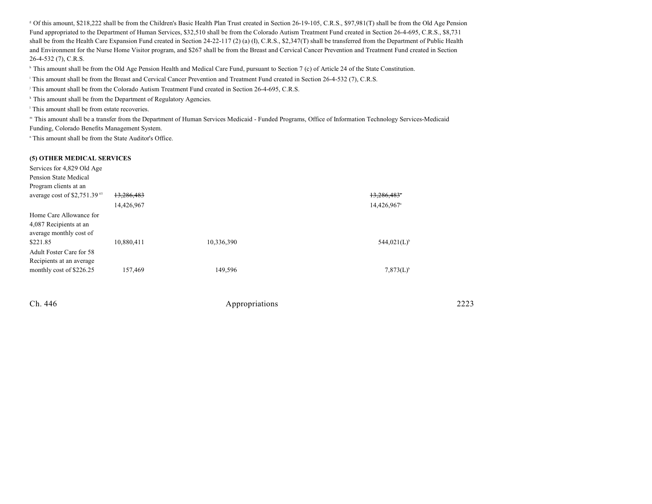Of this amount, \$218,222 shall be from the Children's Basic Health Plan Trust created in Section 26-19-105, C.R.S., \$97,981(T) shall be from the Old Age Pension <sup>g</sup> Fund appropriated to the Department of Human Services, \$32,510 shall be from the Colorado Autism Treatment Fund created in Section 26-4-695, C.R.S., \$8,731 shall be from the Health Care Expansion Fund created in Section 24-22-117 (2) (a) (I), C.R.S., \$2,347(T) shall be transferred from the Department of Public Health and Environment for the Nurse Home Visitor program, and \$267 shall be from the Breast and Cervical Cancer Prevention and Treatment Fund created in Section 26-4-532 (7), C.R.S.

<sup>h</sup> This amount shall be from the Old Age Pension Health and Medical Care Fund, pursuant to Section 7 (c) of Article 24 of the State Constitution.

This amount shall be from the Breast and Cervical Cancer Prevention and Treatment Fund created in Section 26-4-532 (7), C.R.S.

<sup>j</sup> This amount shall be from the Colorado Autism Treatment Fund created in Section 26-4-695, C.R.S.

<sup>k</sup> This amount shall be from the Department of Regulatory Agencies.

 $\,$ <sup>1</sup> This amount shall be from estate recoveries.

" This amount shall be a transfer from the Department of Human Services Medicaid - Funded Programs, Office of Information Technology Services-Medicaid Funding, Colorado Benefits Management System.

<sup>n</sup> This amount shall be from the State Auditor's Office.

#### **(5) OTHER MEDICAL SERVICES**

| Services for 4,829 Old Age    |            |            |                         |
|-------------------------------|------------|------------|-------------------------|
| Pension State Medical         |            |            |                         |
| Program clients at an         |            |            |                         |
| average cost of $$2,751.3945$ | 13,286,483 |            | 13,286,483*             |
|                               | 14,426,967 |            | 14,426,967 <sup>a</sup> |
| Home Care Allowance for       |            |            |                         |
| 4,087 Recipients at an        |            |            |                         |
| average monthly cost of       |            |            |                         |
| \$221.85                      | 10,880,411 | 10,336,390 | 544,021(L) <sup>b</sup> |
| Adult Foster Care for 58      |            |            |                         |
| Recipients at an average      |            |            |                         |
| monthly cost of \$226.25      | 157,469    | 149,596    | $7,873(L)^{6}$          |
|                               |            |            |                         |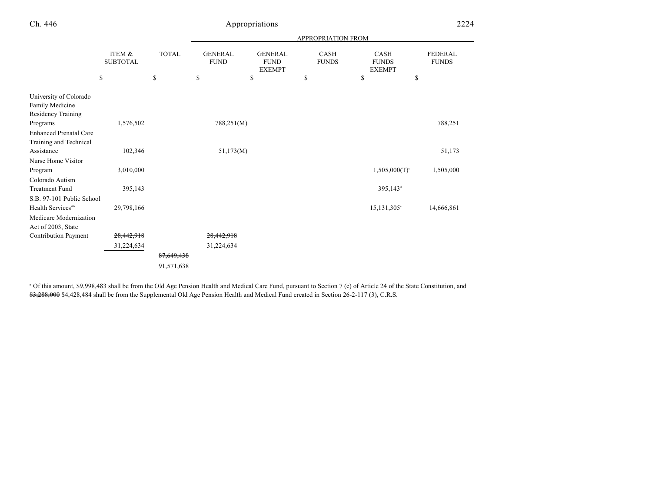|                                                                 |                                 |                    | APPROPRIATION FROM                  |                                                      |                                   |                                             |                                      |  |
|-----------------------------------------------------------------|---------------------------------|--------------------|-------------------------------------|------------------------------------------------------|-----------------------------------|---------------------------------------------|--------------------------------------|--|
|                                                                 | ITEM &<br><b>SUBTOTAL</b><br>\$ | <b>TOTAL</b><br>\$ | <b>GENERAL</b><br><b>FUND</b><br>\$ | <b>GENERAL</b><br><b>FUND</b><br><b>EXEMPT</b><br>\$ | <b>CASH</b><br><b>FUNDS</b><br>\$ | CASH<br><b>FUNDS</b><br><b>EXEMPT</b><br>\$ | <b>FEDERAL</b><br><b>FUNDS</b><br>\$ |  |
|                                                                 |                                 |                    |                                     |                                                      |                                   |                                             |                                      |  |
| University of Colorado<br>Family Medicine<br>Residency Training |                                 |                    |                                     |                                                      |                                   |                                             |                                      |  |
| Programs                                                        | 1,576,502                       |                    | 788,251(M)                          |                                                      |                                   |                                             | 788,251                              |  |
| <b>Enhanced Prenatal Care</b>                                   |                                 |                    |                                     |                                                      |                                   |                                             |                                      |  |
| Training and Technical                                          |                                 |                    |                                     |                                                      |                                   |                                             |                                      |  |
| Assistance                                                      | 102,346                         |                    | 51,173(M)                           |                                                      |                                   |                                             | 51,173                               |  |
| Nurse Home Visitor                                              |                                 |                    |                                     |                                                      |                                   |                                             |                                      |  |
| Program                                                         | 3,010,000                       |                    |                                     |                                                      |                                   | $1,505,000(T)$ <sup>c</sup>                 | 1,505,000                            |  |
| Colorado Autism                                                 |                                 |                    |                                     |                                                      |                                   |                                             |                                      |  |
| <b>Treatment Fund</b>                                           | 395,143                         |                    |                                     |                                                      |                                   | 395,143 <sup>d</sup>                        |                                      |  |
| S.B. 97-101 Public School                                       |                                 |                    |                                     |                                                      |                                   |                                             |                                      |  |
| Health Services <sup>46</sup>                                   | 29,798,166                      |                    |                                     |                                                      |                                   | $15,131,305^{\circ}$                        | 14,666,861                           |  |
| Medicare Modernization                                          |                                 |                    |                                     |                                                      |                                   |                                             |                                      |  |
| Act of 2003, State                                              |                                 |                    |                                     |                                                      |                                   |                                             |                                      |  |
| <b>Contribution Payment</b>                                     | 28,442,918                      |                    | 28,442,918                          |                                                      |                                   |                                             |                                      |  |
|                                                                 | 31,224,634                      |                    | 31,224,634                          |                                                      |                                   |                                             |                                      |  |
|                                                                 |                                 | 87,649,438         |                                     |                                                      |                                   |                                             |                                      |  |
|                                                                 |                                 | 91,571,638         |                                     |                                                      |                                   |                                             |                                      |  |
|                                                                 |                                 |                    |                                     |                                                      |                                   |                                             |                                      |  |

<sup>a</sup> Of this amount, \$9,998,483 shall be from the Old Age Pension Health and Medical Care Fund, pursuant to Section 7 (c) of Article 24 of the State Constitution, and \$3,288,000 \$4,428,484 shall be from the Supplemental Old Age Pension Health and Medical Fund created in Section 26-2-117 (3), C.R.S.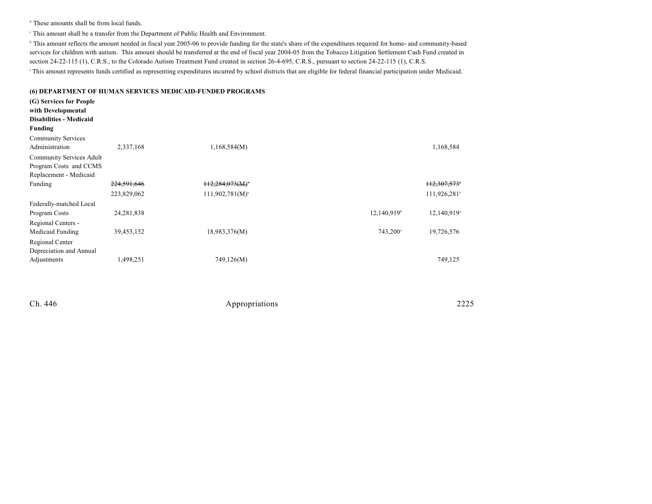$\,^{\circ}$  These amounts shall be from local funds.

This amount shall be a transfer from the Department of Public Health and Environment. <sup>c</sup>

<sup>d</sup> This amount reflects the amount needed in fiscal year 2005-06 to provide funding for the state's share of the expenditures required for home- and community-based services for children with autism. This amount should be transferred at the end of fiscal year 2004-05 from the Tobacco Litigation Settlement Cash Fund created in section 24-22-115 (1), C.R.S., to the Colorado Autism Treatment Fund created in section 26-4-695, C.R.S., pursuant to section 24-22-115 (1), C.R.S. <sup>e</sup>This amount represents funds certified as representing expenditures incurred by school districts that are eligible for federal financial participation under Medicaid.

**(6) DEPARTMENT OF HUMAN SERVICES MEDICAID-FUNDED PROGRAMS (G) Services for People with Developmental Disabilities - Medicaid Funding** Community Services Administration 2,337,168 1,168,584(M) 1,168,584 Community Services Adult Program Costs and CCMS Replacement - Medicaid Funding 224,591,646 112,284,073(M) 12,284,073 and the contract of the contract of the contract of the contract of the contract of the contract of the contract of the contract of the contract of the contract of the contract 223,829,062 111,926,281<sup>a</sup> 111,926,281<sup>a</sup> 111,926,281<sup>a</sup> Federally-matched Local Program Costs 24,281,838 24,281,838 12,140,919 12,140,919 12,140,919 12,140,919 12,140,919 12,140,919 12,140,919 12,140,919 12,140,919 12,140,919 12,140,919 12,140,919 12,140,919 12,140,919 12,140,919 12,140,919 12,140,91 Regional Centers - Medicaid Funding 39,453,152 18,983,376(M) 743,200 743,200 19,726,576 Regional Center Depreciation and Annual Adjustments 1,498,251 749,126(M) 749,125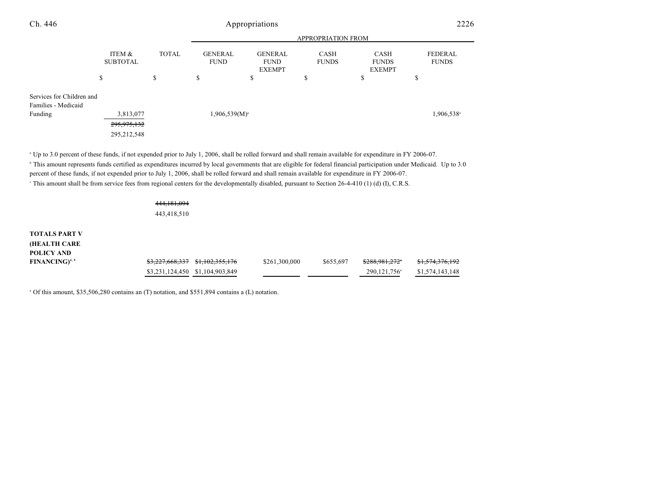| Ch. 446                                          | Appropriations            |              |                               |                                                |                             |                                              | 2226                           |  |
|--------------------------------------------------|---------------------------|--------------|-------------------------------|------------------------------------------------|-----------------------------|----------------------------------------------|--------------------------------|--|
|                                                  |                           |              |                               |                                                |                             |                                              |                                |  |
|                                                  | ITEM &<br><b>SUBTOTAL</b> | <b>TOTAL</b> | <b>GENERAL</b><br><b>FUND</b> | <b>GENERAL</b><br><b>FUND</b><br><b>EXEMPT</b> | <b>CASH</b><br><b>FUNDS</b> | <b>CASH</b><br><b>FUNDS</b><br><b>EXEMPT</b> | <b>FEDERAL</b><br><b>FUNDS</b> |  |
|                                                  | \$                        | \$           | \$                            | \$                                             | Φ                           | ۰D                                           | Φ<br>Ф                         |  |
| Services for Children and<br>Families - Medicaid |                           |              |                               |                                                |                             |                                              |                                |  |
| Funding                                          | 3,813,077                 |              | $1,906,539(M)^{a}$            |                                                |                             |                                              | 1,906,538 <sup>a</sup>         |  |
|                                                  | 295, 975, 132             |              |                               |                                                |                             |                                              |                                |  |
|                                                  | 295,212,548               |              |                               |                                                |                             |                                              |                                |  |

<sup>a</sup> Up to 3.0 percent of these funds, if not expended prior to July 1, 2006, shall be rolled forward and shall remain available for expenditure in FY 2006-07.

<sup>b</sup> This amount represents funds certified as expenditures incurred by local governments that are eligible for federal financial participation under Medicaid. Up to 3.0 percent of these funds, if not expended prior to July 1, 2006, shall be rolled forward and shall remain available for expenditure in FY 2006-07. <sup>e</sup> This amount shall be from service fees from regional centers for the developmentally disabled, pursuant to Section 26-4-410 (1) (d) (I), C.R.S.

# 444,181,094

443,418,510

**TOTALS PART V (HEALTH CARE POLICY AND FINANCING**<sup>4,5</sup> \$3,227,668,337 \$1,102,355,176 \$261,300,000 \$655,697 \$288,981,272 \$1,574,376,192 \$3,231,124,450 \$1,104,903,849 290,121,756 \$1,574,143,148

<sup>a</sup> Of this amount, \$35,506,280 contains an (T) notation, and \$551,894 contains a (L) notation.